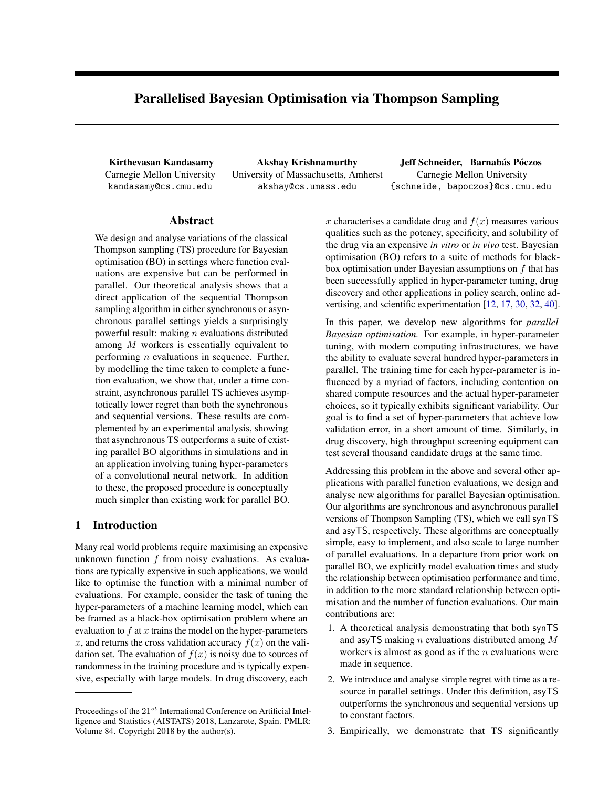# Parallelised Bayesian Optimisation via Thompson Sampling

Carnegie Mellon University kandasamy@cs.cmu.edu

University of Massachusetts, Amherst akshay@cs.umass.edu

Kirthevasan Kandasamy Akshay Krishnamurthy Jeff Schneider, Barnabás Póczos Carnegie Mellon University {schneide, bapoczos}@cs.cmu.edu

### Abstract

We design and analyse variations of the classical Thompson sampling (TS) procedure for Bayesian optimisation (BO) in settings where function evaluations are expensive but can be performed in parallel. Our theoretical analysis shows that a direct application of the sequential Thompson sampling algorithm in either synchronous or asynchronous parallel settings yields a surprisingly powerful result: making  $n$  evaluations distributed among M workers is essentially equivalent to performing  $n$  evaluations in sequence. Further, by modelling the time taken to complete a function evaluation, we show that, under a time constraint, asynchronous parallel TS achieves asymptotically lower regret than both the synchronous and sequential versions. These results are complemented by an experimental analysis, showing that asynchronous TS outperforms a suite of existing parallel BO algorithms in simulations and in an application involving tuning hyper-parameters of a convolutional neural network. In addition to these, the proposed procedure is conceptually much simpler than existing work for parallel BO.

## 1 Introduction

Many real world problems require maximising an expensive unknown function  $f$  from noisy evaluations. As evaluations are typically expensive in such applications, we would like to optimise the function with a minimal number of evaluations. For example, consider the task of tuning the hyper-parameters of a machine learning model, which can be framed as a black-box optimisation problem where an evaluation to  $f$  at  $x$  trains the model on the hyper-parameters x, and returns the cross validation accuracy  $f(x)$  on the validation set. The evaluation of  $f(x)$  is noisy due to sources of randomness in the training procedure and is typically expensive, especially with large models. In drug discovery, each

x characterises a candidate drug and  $f(x)$  measures various qualities such as the potency, specificity, and solubility of the drug via an expensive *in vitro* or *in vivo* test. Bayesian optimisation (BO) refers to a suite of methods for blackbox optimisation under Bayesian assumptions on  $f$  that has been successfully applied in hyper-parameter tuning, drug discovery and other applications in policy search, online advertising, and scientific experimentation [\[12,](#page-8-0) [17,](#page-8-1) [30,](#page-8-2) [32,](#page-9-0) [40\]](#page-9-1).

In this paper, we develop new algorithms for *parallel Bayesian optimisation.* For example, in hyper-parameter tuning, with modern computing infrastructures, we have the ability to evaluate several hundred hyper-parameters in parallel. The training time for each hyper-parameter is influenced by a myriad of factors, including contention on shared compute resources and the actual hyper-parameter choices, so it typically exhibits significant variability. Our goal is to find a set of hyper-parameters that achieve low validation error, in a short amount of time. Similarly, in drug discovery, high throughput screening equipment can test several thousand candidate drugs at the same time.

Addressing this problem in the above and several other applications with parallel function evaluations, we design and analyse new algorithms for parallel Bayesian optimisation. Our algorithms are synchronous and asynchronous parallel versions of Thompson Sampling (TS), which we call synTS and asyTS, respectively. These algorithms are conceptually simple, easy to implement, and also scale to large number of parallel evaluations. In a departure from prior work on parallel BO, we explicitly model evaluation times and study the relationship between optimisation performance and time, in addition to the more standard relationship between optimisation and the number of function evaluations. Our main contributions are:

- 1. A theoretical analysis demonstrating that both synTS and asyTS making  $n$  evaluations distributed among  $M$ workers is almost as good as if the  $n$  evaluations were made in sequence.
- 2. We introduce and analyse simple regret with time as a resource in parallel settings. Under this definition, asyTS outperforms the synchronous and sequential versions up to constant factors.
- 3. Empirically, we demonstrate that TS significantly

Proceedings of the  $21^{st}$  International Conference on Artificial Intelligence and Statistics (AISTATS) 2018, Lanzarote, Spain. PMLR: Volume 84. Copyright 2018 by the author(s).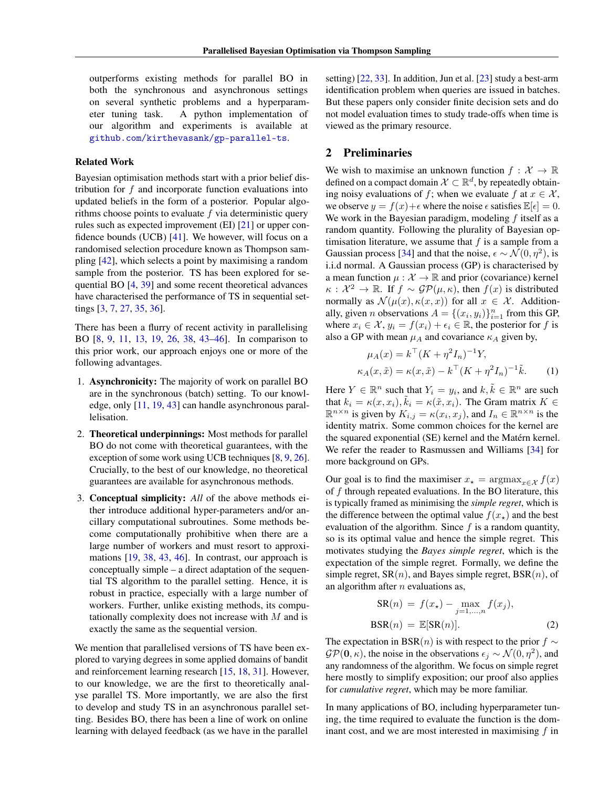outperforms existing methods for parallel BO in both the synchronous and asynchronous settings on several synthetic problems and a hyperparameter tuning task. A python implementation of our algorithm and experiments is available at [github.com/kirthevasank/gp-parallel-ts](https://github.com/kirthevasank/gp-parallel-ts).

#### Related Work

Bayesian optimisation methods start with a prior belief distribution for f and incorporate function evaluations into updated beliefs in the form of a posterior. Popular algorithms choose points to evaluate  $f$  via deterministic query rules such as expected improvement (EI) [\[21\]](#page-8-3) or upper confidence bounds (UCB) [\[41\]](#page-9-2). We however, will focus on a randomised selection procedure known as Thompson sampling [\[42\]](#page-9-3), which selects a point by maximising a random sample from the posterior. TS has been explored for sequential BO [\[4,](#page-8-4) [39\]](#page-9-4) and some recent theoretical advances have characterised the performance of TS in sequential settings [\[3,](#page-7-0) [7,](#page-8-5) [27,](#page-8-6) [35,](#page-9-5) [36\]](#page-9-6).

There has been a flurry of recent activity in parallelising BO [\[8,](#page-8-7) [9,](#page-8-8) [11,](#page-8-9) [13,](#page-8-10) [19,](#page-8-11) [26,](#page-8-12) [38,](#page-9-7) [43–](#page-9-8)[46\]](#page-9-9). In comparison to this prior work, our approach enjoys one or more of the following advantages.

- 1. Asynchronicity: The majority of work on parallel BO are in the synchronous (batch) setting. To our knowledge, only [\[11,](#page-8-9) [19,](#page-8-11) [43\]](#page-9-8) can handle asynchronous parallelisation.
- 2. Theoretical underpinnings: Most methods for parallel BO do not come with theoretical guarantees, with the exception of some work using UCB techniques [\[8,](#page-8-7) [9,](#page-8-8) [26\]](#page-8-12). Crucially, to the best of our knowledge, no theoretical guarantees are available for asynchronous methods.
- 3. Conceptual simplicity: *All* of the above methods either introduce additional hyper-parameters and/or ancillary computational subroutines. Some methods become computationally prohibitive when there are a large number of workers and must resort to approximations [\[19,](#page-8-11) [38,](#page-9-7) [43,](#page-9-8) [46\]](#page-9-9). In contrast, our approach is conceptually simple – a direct adaptation of the sequential TS algorithm to the parallel setting. Hence, it is robust in practice, especially with a large number of workers. Further, unlike existing methods, its computationally complexity does not increase with M and is exactly the same as the sequential version.

We mention that parallelised versions of TS have been explored to varying degrees in some applied domains of bandit and reinforcement learning research [\[15,](#page-8-13) [18,](#page-8-14) [31\]](#page-9-10). However, to our knowledge, we are the first to theoretically analyse parallel TS. More importantly, we are also the first to develop and study TS in an asynchronous parallel setting. Besides BO, there has been a line of work on online learning with delayed feedback (as we have in the parallel

setting) [\[22,](#page-8-15) [33\]](#page-9-11). In addition, Jun et al. [\[23\]](#page-8-16) study a best-arm identification problem when queries are issued in batches. But these papers only consider finite decision sets and do not model evaluation times to study trade-offs when time is viewed as the primary resource.

# <span id="page-1-0"></span>2 Preliminaries

We wish to maximise an unknown function  $f: \mathcal{X} \to \mathbb{R}$ defined on a compact domain  $\mathcal{X} \subset \mathbb{R}^d$ , by repeatedly obtaining noisy evaluations of f; when we evaluate f at  $x \in \mathcal{X}$ , we observe  $y = f(x) + \epsilon$  where the noise  $\epsilon$  satisfies  $\mathbb{E}[\epsilon] = 0$ . We work in the Bayesian paradigm, modeling  $f$  itself as a random quantity. Following the plurality of Bayesian optimisation literature, we assume that  $f$  is a sample from a Gaussian process [\[34\]](#page-9-12) and that the noise,  $\epsilon \sim \mathcal{N}(0, \eta^2)$ , is i.i.d normal. A Gaussian process (GP) is characterised by a mean function  $\mu : \mathcal{X} \to \mathbb{R}$  and prior (covariance) kernel  $\kappa : \mathcal{X}^2 \to \mathbb{R}$ . If  $f \sim \mathcal{GP}(\mu, \kappa)$ , then  $f(x)$  is distributed normally as  $\mathcal{N}(\mu(x), \kappa(x, x))$  for all  $x \in \mathcal{X}$ . Additionally, given *n* observations  $A = \{(x_i, y_i)\}_{i=1}^n$  from this GP, where  $x_i \in \mathcal{X}$ ,  $y_i = f(x_i) + \epsilon_i \in \mathbb{R}$ , the posterior for f is also a GP with mean  $\mu_A$  and covariance  $\kappa_A$  given by,

$$
\mu_A(x) = k^{\top} (K + \eta^2 I_n)^{-1} Y,
$$
  
\n
$$
\kappa_A(x, \tilde{x}) = \kappa(x, \tilde{x}) - k^{\top} (K + \eta^2 I_n)^{-1} \tilde{k}.
$$
 (1)

Here  $Y \in \mathbb{R}^n$  such that  $Y_i = y_i$ , and  $k, \tilde{k} \in \mathbb{R}^n$  are such that  $k_i = \kappa(x, x_i)$ ,  $\tilde{k}_i = \kappa(\tilde{x}, x_i)$ . The Gram matrix  $K \in$  $\mathbb{R}^{n \times n}$  is given by  $K_{i,j} = \kappa(x_i, x_j)$ , and  $I_n \in \mathbb{R}^{n \times n}$  is the identity matrix. Some common choices for the kernel are the squared exponential (SE) kernel and the Matérn kernel. We refer the reader to Rasmussen and Williams [\[34\]](#page-9-12) for more background on GPs.

Our goal is to find the maximiser  $x_* = \argmax_{x \in \mathcal{X}} f(x)$ of  $f$  through repeated evaluations. In the BO literature, this is typically framed as minimising the *simple regret*, which is the difference between the optimal value  $f(x<sub>\star</sub>)$  and the best evaluation of the algorithm. Since  $f$  is a random quantity, so is its optimal value and hence the simple regret. This motivates studying the *Bayes simple regret*, which is the expectation of the simple regret. Formally, we define the simple regret,  $SR(n)$ , and Bayes simple regret,  $BSR(n)$ , of an algorithm after  $n$  evaluations as,

$$
SR(n) = f(x_{\star}) - \max_{j=1,\dots,n} f(x_j),
$$
  

$$
BSR(n) = \mathbb{E}[SR(n)].
$$
 (2)

The expectation in BSR(n) is with respect to the prior  $f \sim$  $\mathcal{GP}(\mathbf{0}, \kappa)$ , the noise in the observations  $\epsilon_j \sim \mathcal{N}(0, \eta^2)$ , and any randomness of the algorithm. We focus on simple regret here mostly to simplify exposition; our proof also applies for *cumulative regret*, which may be more familiar.

In many applications of BO, including hyperparameter tuning, the time required to evaluate the function is the dominant cost, and we are most interested in maximising  $f$  in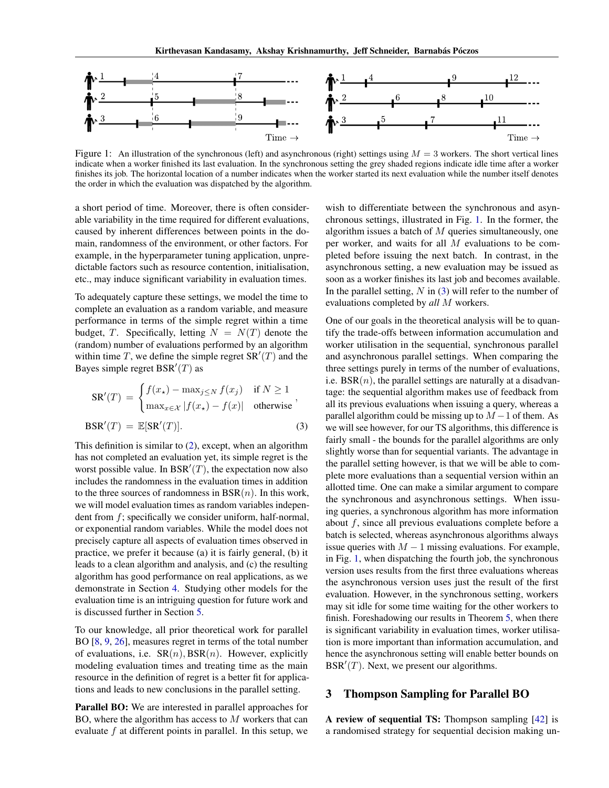

<span id="page-2-0"></span>Figure 1: An illustration of the synchronous (left) and asynchronous (right) settings using  $M = 3$  workers. The short vertical lines indicate when a worker finished its last evaluation. In the synchronous setting the grey shaded regions indicate idle time after a worker finishes its job. The horizontal location of a number indicates when the worker started its next evaluation while the number itself denotes the order in which the evaluation was dispatched by the algorithm.

a short period of time. Moreover, there is often considerable variability in the time required for different evaluations, caused by inherent differences between points in the domain, randomness of the environment, or other factors. For example, in the hyperparameter tuning application, unpredictable factors such as resource contention, initialisation, etc., may induce significant variability in evaluation times.

To adequately capture these settings, we model the time to complete an evaluation as a random variable, and measure performance in terms of the simple regret within a time budget, T. Specifically, letting  $N = N(T)$  denote the (random) number of evaluations performed by an algorithm within time T, we define the simple regret  $SR'(T)$  and the Bayes simple regret  $BSR'(T)$  as

$$
SR'(T) = \begin{cases} f(x_{\star}) - \max_{j \leq N} f(x_j) & \text{if } N \geq 1 \\ \max_{x \in \mathcal{X}} |f(x_{\star}) - f(x)| & \text{otherwise} \end{cases},
$$
  

$$
BSR'(T) = \mathbb{E}[SR'(T)].
$$
 (3)

This definition is similar to [\(2\)](#page-2-0), except, when an algorithm has not completed an evaluation yet, its simple regret is the worst possible value. In BSR' $(T)$ , the expectation now also includes the randomness in the evaluation times in addition to the three sources of randomness in  $BSR(n)$ . In this work, we will model evaluation times as random variables independent from f; specifically we consider uniform, half-normal, or exponential random variables. While the model does not precisely capture all aspects of evaluation times observed in practice, we prefer it because (a) it is fairly general, (b) it leads to a clean algorithm and analysis, and (c) the resulting algorithm has good performance on real applications, as we demonstrate in Section [4.](#page-5-0) Studying other models for the evaluation time is an intriguing question for future work and is discussed further in Section [5.](#page-7-1)

To our knowledge, all prior theoretical work for parallel BO [\[8,](#page-8-7) [9,](#page-8-8) [26\]](#page-8-12), measures regret in terms of the total number of evaluations, i.e.  $SR(n)$ ,  $BSR(n)$ . However, explicitly modeling evaluation times and treating time as the main resource in the definition of regret is a better fit for applications and leads to new conclusions in the parallel setting.

Parallel BO: We are interested in parallel approaches for BO, where the algorithm has access to M workers that can evaluate  $f$  at different points in parallel. In this setup, we wish to differentiate between the synchronous and asynchronous settings, illustrated in Fig. [1.](#page-2-0) In the former, the algorithm issues a batch of  $M$  queries simultaneously, one per worker, and waits for all M evaluations to be completed before issuing the next batch. In contrast, in the asynchronous setting, a new evaluation may be issued as soon as a worker finishes its last job and becomes available. In the parallel setting,  $N$  in [\(3\)](#page-2-0) will refer to the number of evaluations completed by *all* M workers.

One of our goals in the theoretical analysis will be to quantify the trade-offs between information accumulation and worker utilisation in the sequential, synchronous parallel and asynchronous parallel settings. When comparing the three settings purely in terms of the number of evaluations, i.e.  $BSR(n)$ , the parallel settings are naturally at a disadvantage: the sequential algorithm makes use of feedback from all its previous evaluations when issuing a query, whereas a parallel algorithm could be missing up to  $M - 1$  of them. As we will see however, for our TS algorithms, this difference is fairly small - the bounds for the parallel algorithms are only slightly worse than for sequential variants. The advantage in the parallel setting however, is that we will be able to complete more evaluations than a sequential version within an allotted time. One can make a similar argument to compare the synchronous and asynchronous settings. When issuing queries, a synchronous algorithm has more information about  $f$ , since all previous evaluations complete before a batch is selected, whereas asynchronous algorithms always issue queries with  $M - 1$  missing evaluations. For example, in Fig. [1,](#page-2-0) when dispatching the fourth job, the synchronous version uses results from the first three evaluations whereas the asynchronous version uses just the result of the first evaluation. However, in the synchronous setting, workers may sit idle for some time waiting for the other workers to finish. Foreshadowing our results in Theorem [5,](#page-4-0) when there is significant variability in evaluation times, worker utilisation is more important than information accumulation, and hence the asynchronous setting will enable better bounds on  $BSR'(T)$ . Next, we present our algorithms.

### 3 Thompson Sampling for Parallel BO

A review of sequential TS: Thompson sampling [\[42\]](#page-9-3) is a randomised strategy for sequential decision making un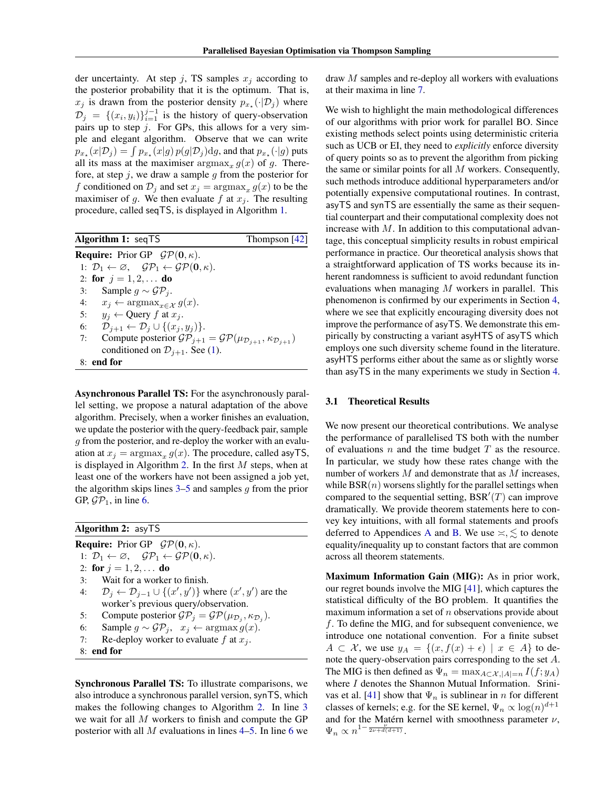der uncertainty. At step j, TS samples  $x_i$  according to the posterior probability that it is the optimum. That is,  $x_j$  is drawn from the posterior density  $p_{x_{\star}}(\cdot | \mathcal{D}_j)$  where  $\mathcal{D}_j = \{(x_i, y_i)\}_{i=1}^{j-1}$  is the history of query-observation pairs up to step  $j$ . For GPs, this allows for a very simple and elegant algorithm. Observe that we can write  $p_{x_\star}(x|\mathcal{D}_j) = \int p_{x_\star}(x|g) \, p(g|\mathcal{D}_j) \mathrm{d}g,$  and that  $p_{x_\star}(\cdot|g)$  puts all its mass at the maximiser  $\argmax_x g(x)$  of g. Therefore, at step  $j$ , we draw a sample  $g$  from the posterior for f conditioned on  $\mathcal{D}_j$  and set  $x_j = \argmax_x g(x)$  to be the maximiser of g. We then evaluate f at  $x_i$ . The resulting procedure, called seqTS, is displayed in Algorithm [1.](#page-3-0)

<span id="page-3-7"></span>

| <b>Algorithm 1:</b> seqTS                                                                                        | Thompson $[42]$ |
|------------------------------------------------------------------------------------------------------------------|-----------------|
| <b>Require:</b> Prior GP $\mathcal{GP}(\mathbf{0}, \kappa)$ .                                                    |                 |
| 1: $\mathcal{D}_1 \leftarrow \emptyset$ , $\mathcal{GP}_1 \leftarrow \mathcal{GP}(\mathbf{0}, \kappa)$ .         |                 |
| 2: for $j = 1, 2, $ do                                                                                           |                 |
| 3: Sample $g \sim \mathcal{GP}_i$ .                                                                              |                 |
| 4: $x_j \leftarrow \arg\max_{x \in \mathcal{X}} g(x)$ .                                                          |                 |
| 5: $y_i \leftarrow$ Query f at $x_i$ .                                                                           |                 |
| 6: $\mathcal{D}_{i+1} \leftarrow \mathcal{D}_i \cup \{(x_i, y_i)\}.$                                             |                 |
| Compute posterior $\mathcal{GP}_{j+1} = \mathcal{GP}(\mu_{\mathcal{D}_{j+1}}, \kappa_{\mathcal{D}_{j+1}})$<br>7: |                 |
| conditioned on $\mathcal{D}_{i+1}$ . See (1).                                                                    |                 |
| $8:$ end for                                                                                                     |                 |

<span id="page-3-0"></span>Asynchronous Parallel TS: For the asynchronously parallel setting, we propose a natural adaptation of the above algorithm. Precisely, when a worker finishes an evaluation, we update the posterior with the query-feedback pair, sample g from the posterior, and re-deploy the worker with an evaluation at  $x_j = \text{argmax}_x g(x)$ . The procedure, called asyTS, is displayed in Algorithm [2.](#page-3-1) In the first  $M$  steps, when at least one of the workers have not been assigned a job yet, the algorithm skips lines  $3-5$  $3-5$  and samples q from the prior GP,  $\mathcal{GP}_1$ , in line [6.](#page-3-4)

## Algorithm 2: asyTS

**Require:** Prior GP  $\mathcal{GP}(\mathbf{0}, \kappa)$ . 1:  $\mathcal{D}_1 \leftarrow \emptyset$ ,  $\mathcal{GP}_1 \leftarrow \mathcal{GP}(\mathbf{0}, \kappa)$ . 2: for  $j = 1, 2, ...$  do 3: Wait for a worker to finish.

<span id="page-3-2"></span>4:  $\mathcal{D}_j \leftarrow \mathcal{D}_{j-1} \cup \{(x', y')\}$  where  $(x', y')$  are the worker's previous query/observation.

5: Compute posterior  $\mathcal{GP}_j = \mathcal{GP}(\mu_{\mathcal{D}_j}, \kappa_{\mathcal{D}_j}).$ 

- 6: Sample  $g \sim \mathcal{GP}_j$ ,  $x_j \leftarrow \operatorname{argmax} g(x)$ .
- 7: Re-deploy worker to evaluate  $f$  at  $x_j$ .
- <span id="page-3-1"></span>8: end for

Synchronous Parallel TS: To illustrate comparisons, we also introduce a synchronous parallel version, synTS, which makes the following changes to Algorithm [2.](#page-3-1) In line [3](#page-3-2) we wait for all M workers to finish and compute the GP posterior with all  $M$  evaluations in lines  $4-5$ . In line [6](#page-3-4) we draw M samples and re-deploy all workers with evaluations at their maxima in line [7.](#page-3-6)

We wish to highlight the main methodological differences of our algorithms with prior work for parallel BO. Since existing methods select points using deterministic criteria such as UCB or EI, they need to *explicitly* enforce diversity of query points so as to prevent the algorithm from picking the same or similar points for all  $M$  workers. Consequently, such methods introduce additional hyperparameters and/or potentially expensive computational routines. In contrast, asyTS and synTS are essentially the same as their sequential counterpart and their computational complexity does not increase with  $M$ . In addition to this computational advantage, this conceptual simplicity results in robust empirical performance in practice. Our theoretical analysis shows that a straightforward application of TS works because its inherent randomness is sufficient to avoid redundant function evaluations when managing M workers in parallel. This phenomenon is confirmed by our experiments in Section [4,](#page-5-0) where we see that explicitly encouraging diversity does not improve the performance of asyTS. We demonstrate this empirically by constructing a variant asyHTS of asyTS which employs one such diversity scheme found in the literature. asyHTS performs either about the same as or slightly worse than asyTS in the many experiments we study in Section [4.](#page-5-0)

### <span id="page-3-8"></span>3.1 Theoretical Results

We now present our theoretical contributions. We analyse the performance of parallelised TS both with the number of evaluations  $n$  and the time budget  $T$  as the resource. In particular, we study how these rates change with the number of workers M and demonstrate that as M increases, while  $BSR(n)$  worsens slightly for the parallel settings when compared to the sequential setting,  $BSR'(T)$  can improve dramatically. We provide theorem statements here to convey key intuitions, with all formal statements and proofs deferred to [A](#page-10-0)ppendices A and [B.](#page-14-0) We use  $\leq, \leq$  to denote equality/inequality up to constant factors that are common across all theorem statements.

<span id="page-3-6"></span><span id="page-3-5"></span><span id="page-3-4"></span><span id="page-3-3"></span>Maximum Information Gain (MIG): As in prior work, our regret bounds involve the MIG [\[41\]](#page-9-2), which captures the statistical difficulty of the BO problem. It quantifies the maximum information a set of  $n$  observations provide about f. To define the MIG, and for subsequent convenience, we introduce one notational convention. For a finite subset  $A \subset \mathcal{X}$ , we use  $y_A = \{(x, f(x) + \epsilon) \mid x \in A\}$  to denote the query-observation pairs corresponding to the set A. The MIG is then defined as  $\Psi_n = \max_{A \subset \mathcal{X}, |A|=n} I(f; y_A)$ where  $I$  denotes the Shannon Mutual Information. Srini-vas et al. [\[41\]](#page-9-2) show that  $\Psi_n$  is sublinear in n for different classes of kernels; e.g. for the SE kernel,  $\Psi_n \propto \log(n)^{d+1}$ and for the Matérn kernel with smoothness parameter  $\nu$ ,  $\Psi_n \propto n^{1-\frac{\nu}{2\nu+d(d+1)}}$ .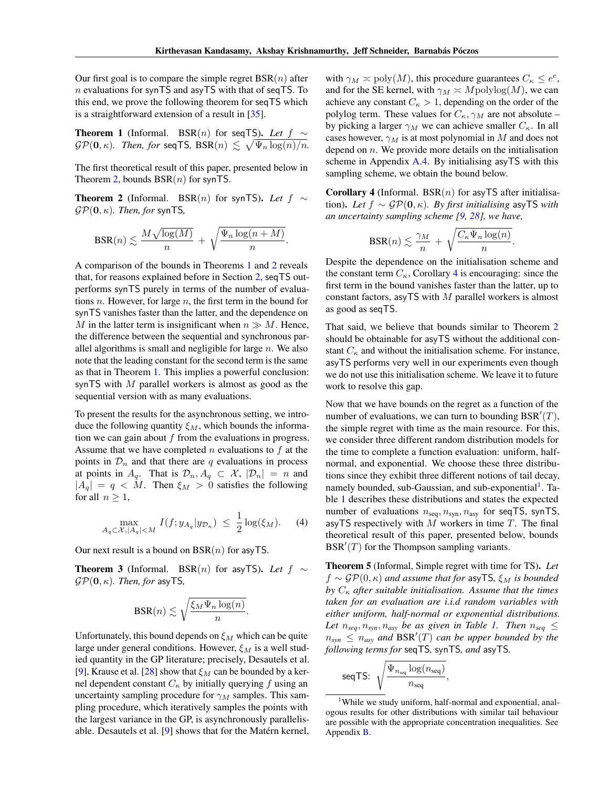Our first goal is to compare the simple regret  $BSR(n)$  after  $n$  evaluations for synTS and asyTS with that of seqTS. To this end, we prove the following theorem for seqTS which is a straightforward extension of a result in [\[35\]](#page-9-5).

<span id="page-4-2"></span>**Theorem 1** (Informal. BSR(*n*) for seqTS). Let 
$$
f \sim
$$
  
 $\mathcal{GP}(0, \kappa)$ . Then, for seqTS, BSR(*n*)  $\lesssim \sqrt{\Psi_n \log(n)/n}$ .

The first theoretical result of this paper, presented below in Theorem [2,](#page-4-1) bounds  $BSR(n)$  for synTS.

<span id="page-4-1"></span>**Theorem 2** (Informal. BSR(n) for synTS). Let  $f \sim$  $\mathcal{GP}(\mathbf{0}, \kappa)$ *. Then, for* synTS,

$$
\text{BSR}(n) \lesssim \frac{M\sqrt{\log(M)}}{n} + \sqrt{\frac{\Psi_n \log(n+M)}{n}}.
$$

A comparison of the bounds in Theorems [1](#page-4-2) and [2](#page-4-1) reveals that, for reasons explained before in Section [2,](#page-1-0) seqTS outperforms synTS purely in terms of the number of evaluations  $n$ . However, for large  $n$ , the first term in the bound for synTS vanishes faster than the latter, and the dependence on M in the latter term is insignificant when  $n \gg M$ . Hence, the difference between the sequential and synchronous parallel algorithms is small and negligible for large  $n$ . We also note that the leading constant for the second term is the same as that in Theorem [1.](#page-4-2) This implies a powerful conclusion: synTS with  $M$  parallel workers is almost as good as the sequential version with as many evaluations.

To present the results for the asynchronous setting, we introduce the following quantity  $\xi_M$ , which bounds the information we can gain about  $f$  from the evaluations in progress. Assume that we have completed  $n$  evaluations to  $f$  at the points in  $\mathcal{D}_n$  and that there are q evaluations in process at points in  $A_q$ . That is  $\mathcal{D}_n, A_q \subset \mathcal{X}, |\mathcal{D}_n| = n$  and  $|A_q| = q < M$ . Then  $\xi_M > 0$  satisfies the following for all  $n \geq 1$ ,

$$
\max_{A_q \subset \mathcal{X}, |A_q| < M} I(f; y_{A_q} | y_{\mathcal{D}_n}) \leq \frac{1}{2} \log(\xi_M). \tag{4}
$$

Our next result is a bound on  $BSR(n)$  for asyTS.

<span id="page-4-5"></span>**Theorem 3** (Informal. BSR(n) for asyTS). Let  $f \sim$  $\mathcal{GP}(\mathbf{0}, \kappa)$ *. Then, for* asyTS,

$$
\text{BSR}(n) \lesssim \sqrt{\frac{\xi_M \Psi_n \log(n)}{n}}.
$$

Unfortunately, this bound depends on  $\xi_M$  which can be quite large under general conditions. However,  $\xi_M$  is a well studied quantity in the GP literature; precisely, Desautels et al. [\[9\]](#page-8-8), Krause et al. [\[28\]](#page-8-17) show that  $\xi_M$  can be bounded by a kernel dependent constant  $C_{\kappa}$  by initially querying f using an uncertainty sampling procedure for  $\gamma_M$  samples. This sampling procedure, which iteratively samples the points with the largest variance in the GP, is asynchronously parallelisable. Desautels et al. [\[9\]](#page-8-8) shows that for the Matérn kernel,

with  $\gamma_M \simeq \text{poly}(M)$ , this procedure guarantees  $C_{\kappa} \leq e^e$ , and for the SE kernel, with  $\gamma_M \asymp M$ polylog $(M)$ , we can achieve any constant  $C_{\kappa} > 1$ , depending on the order of the polylog term. These values for  $C_{\kappa}$ ,  $\gamma_M$  are not absolute – by picking a larger  $\gamma_M$  we can achieve smaller  $C_{\kappa}$ . In all cases however,  $\gamma_M$  is at most polynomial in M and does not depend on  $n$ . We provide more details on the initialisation scheme in Appendix [A.4.](#page-14-1) By initialising asyTS with this sampling scheme, we obtain the bound below.

<span id="page-4-3"></span>**Corollary 4** (Informal. BSR $(n)$  for asyTS after initialisation). *Let* f ∼ GP(0, κ)*. By first initialising* asyTS *with an uncertainty sampling scheme [\[9,](#page-8-8) [28\]](#page-8-17), we have,*

$$
BSR(n) \lesssim \frac{\gamma_M}{n} + \sqrt{\frac{C_\kappa \Psi_n \log(n)}{n}}.
$$

Despite the dependence on the initialisation scheme and the constant term  $C_{\kappa}$ , Corollary [4](#page-4-3) is encouraging: since the first term in the bound vanishes faster than the latter, up to constant factors, asyTS with  $M$  parallel workers is almost as good as seqTS.

That said, we believe that bounds similar to Theorem [2](#page-4-1) should be obtainable for asyTS without the additional constant  $C_{\kappa}$  and without the initialisation scheme. For instance, asyTS performs very well in our experiments even though we do not use this initialisation scheme. We leave it to future work to resolve this gap.

Now that we have bounds on the regret as a function of the number of evaluations, we can turn to bounding  $BSR'(T)$ , the simple regret with time as the main resource. For this, we consider three different random distribution models for the time to complete a function evaluation: uniform, halfnormal, and exponential. We choose these three distributions since they exhibit three different notions of tail decay, namely bounded, sub-Gaussian, and sub-exponential<sup>[1](#page-4-4)</sup>. Table [1](#page-5-1) describes these distributions and states the expected number of evaluations  $n_{seq}$ ,  $n_{syn}$ ,  $n_{asy}$  for seqTS, synTS, asyTS respectively with  $M$  workers in time  $T$ . The final theoretical result of this paper, presented below, bounds  $BSR'(T)$  for the Thompson sampling variants.

<span id="page-4-0"></span>Theorem 5 (Informal, Simple regret with time for TS). *Let*  $f \sim \mathcal{GP}(0, \kappa)$  *and assume that for asy* TS,  $\xi_M$  *is bounded* by  $C_{\kappa}$  *after suitable initialisation. Assume that the times taken for an evaluation are i.i.d random variables with either uniform, half-normal or exponential distributions. Let*  $n_{seq}, n_{syn}, n_{asy}$  *be as given in Table [1.](#page-5-1) Then*  $n_{seq} \leq$  $n_{syn} \leq n_{asy}$  and BSR<sup>'</sup>(T) can be upper bounded by the *following terms for* seqTS*,* synTS*, and* asyTS*.*

$$
\text{seqTS: } \sqrt{\frac{\Psi_{n_{\text{seq}}}\log(n_{\text{seq}})}{n_{\text{seq}}}},
$$

<span id="page-4-4"></span><sup>&</sup>lt;sup>1</sup>While we study uniform, half-normal and exponential, analogous results for other distributions with similar tail behaviour are possible with the appropriate concentration inequalities. See Appendix [B.](#page-14-0)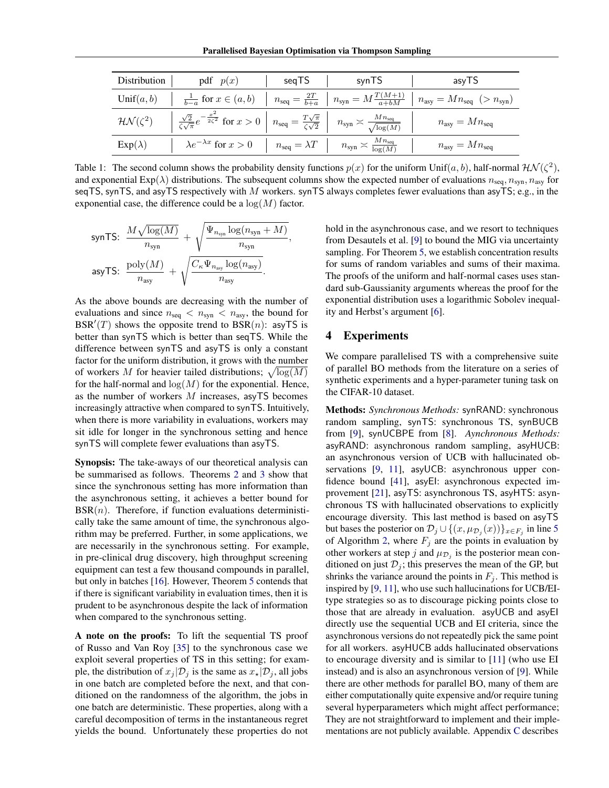| Distribution            | pdf $p(x)$                                                                                                                                                                                 | segTS                             | synTS                                      | asyTS                                                              |
|-------------------------|--------------------------------------------------------------------------------------------------------------------------------------------------------------------------------------------|-----------------------------------|--------------------------------------------|--------------------------------------------------------------------|
| Unif $(a, b)$           | $\frac{1}{b-a}$ for $x \in (a,b)$                                                                                                                                                          | $n_{\text{seq}} = \frac{2T}{b+a}$ | $n_{syn} = M \frac{T(M+1)}{a+bM}$          | $n_{\text{asy}} = Mn_{\text{seq}} \left( > n_{\text{syn}} \right)$ |
| $\mathcal{HN}(\zeta^2)$ | $\frac{\sqrt{2}}{\zeta\sqrt{\pi}}e^{-\frac{x^2}{2\zeta^2}}$ for $x>0$ $n_{\text{seq}} = \frac{T\sqrt{\pi}}{\zeta\sqrt{2}}$ $n_{\text{syn}} \approx \frac{Mn_{\text{seq}}}{\sqrt{\log(M)}}$ |                                   |                                            | $n_{\rm{asy}} = Mn_{\rm{seq}}$                                     |
| $Exp(\lambda)$          | $\lambda e^{-\lambda x}$ for $x>0$                                                                                                                                                         | $n_{\text{seq}} = \lambda T$      | $n_{syn} \asymp \frac{M n_{seq}}{\log(M)}$ | $n_{\rm asy} = Mn_{\rm seq}$                                       |

<span id="page-5-1"></span>Table 1: The second column shows the probability density functions  $p(x)$  for the uniform Unif $(a, b)$ , half-normal  $\mathcal{HN}(\zeta^2)$ , and exponential  $Exp(\lambda)$  distributions. The subsequent columns show the expected number of evaluations  $n_{seq}, n_{syn}, n_{asy}$  for seqTS, synTS, and asyTS respectively with M workers. synTS always completes fewer evaluations than asyTS; e.g., in the exponential case, the difference could be a  $log(M)$  factor.

$$
\begin{aligned} \text{synTS:} \quad & \frac{M\sqrt{\log(M)}}{n_{\text{syn}}} + \sqrt{\frac{\Psi_{n_{\text{syn}}}\log(n_{\text{syn}}+M)}{n_{\text{syn}}}}, \\ \text{asyTS:} \quad & \frac{\text{poly}(M)}{n_{\text{asy}}} + \sqrt{\frac{C_{\kappa}\Psi_{n_{\text{asy}}}\log(n_{\text{asy}})}{n_{\text{asy}}}}. \end{aligned}
$$

As the above bounds are decreasing with the number of evaluations and since  $n_{\text{seq}} < n_{\text{syn}} < n_{\text{asy}}$ , the bound for BSR'(T) shows the opposite trend to  $BSR(n)$ : asyTS is better than synTS which is better than seqTS. While the difference between synTS and asyTS is only a constant factor for the uniform distribution, it grows with the number of workers M for heavier tailed distributions;  $\sqrt{\log(M)}$ for the half-normal and  $log(M)$  for the exponential. Hence, as the number of workers  $M$  increases, asyTS becomes increasingly attractive when compared to synTS. Intuitively, when there is more variability in evaluations, workers may sit idle for longer in the synchronous setting and hence synTS will complete fewer evaluations than asyTS.

Synopsis: The take-aways of our theoretical analysis can be summarised as follows. Theorems [2](#page-4-1) and [3](#page-4-5) show that since the synchronous setting has more information than the asynchronous setting, it achieves a better bound for  $BSR(n)$ . Therefore, if function evaluations deterministically take the same amount of time, the synchronous algorithm may be preferred. Further, in some applications, we are necessarily in the synchronous setting. For example, in pre-clinical drug discovery, high throughput screening equipment can test a few thousand compounds in parallel, but only in batches [\[16\]](#page-8-18). However, Theorem [5](#page-4-0) contends that if there is significant variability in evaluation times, then it is prudent to be asynchronous despite the lack of information when compared to the synchronous setting.

A note on the proofs: To lift the sequential TS proof of Russo and Van Roy [\[35\]](#page-9-5) to the synchronous case we exploit several properties of TS in this setting; for example, the distribution of  $x_j | \mathcal{D}_j$  is the same as  $x_* | \mathcal{D}_j$ , all jobs in one batch are completed before the next, and that conditioned on the randomness of the algorithm, the jobs in one batch are deterministic. These properties, along with a careful decomposition of terms in the instantaneous regret yields the bound. Unfortunately these properties do not hold in the asynchronous case, and we resort to techniques from Desautels et al. [\[9\]](#page-8-8) to bound the MIG via uncertainty sampling. For Theorem [5,](#page-4-0) we establish concentration results for sums of random variables and sums of their maxima. The proofs of the uniform and half-normal cases uses standard sub-Gaussianity arguments whereas the proof for the exponential distribution uses a logarithmic Sobolev inequality and Herbst's argument [\[6\]](#page-8-19).

### <span id="page-5-0"></span>4 Experiments

We compare parallelised TS with a comprehensive suite of parallel BO methods from the literature on a series of synthetic experiments and a hyper-parameter tuning task on the CIFAR-10 dataset.

Methods: *Synchronous Methods:* synRAND: synchronous random sampling, synTS: synchronous TS, synBUCB from [\[9\]](#page-8-8), synUCBPE from [\[8\]](#page-8-7). *Aynchronous Methods:* asyRAND: asynchronous random sampling, asyHUCB: an asynchronous version of UCB with hallucinated ob-servations [\[9,](#page-8-8) [11\]](#page-8-9), asyUCB: asynchronous upper confidence bound [\[41\]](#page-9-2), asyEI: asynchronous expected improvement [\[21\]](#page-8-3), asyTS: asynchronous TS, asyHTS: asynchronous TS with hallucinated observations to explicitly encourage diversity. This last method is based on asyTS but bases the posterior on  $\mathcal{D}_j \cup \{(x, \mu_{\mathcal{D}_j}(x))\}_{x \in F_j}$  in line [5](#page-3-3) of Algorithm [2,](#page-3-1) where  $F_j$  are the points in evaluation by other workers at step j and  $\mu_{\mathcal{D}_j}$  is the posterior mean conditioned on just  $\mathcal{D}_j$ ; this preserves the mean of the GP, but shrinks the variance around the points in  $F_i$ . This method is inspired by [\[9,](#page-8-8) [11\]](#page-8-9), who use such hallucinations for UCB/EItype strategies so as to discourage picking points close to those that are already in evaluation. asyUCB and asyEI directly use the sequential UCB and EI criteria, since the asynchronous versions do not repeatedly pick the same point for all workers. asyHUCB adds hallucinated observations to encourage diversity and is similar to [\[11\]](#page-8-9) (who use EI instead) and is also an asynchronous version of [\[9\]](#page-8-8). While there are other methods for parallel BO, many of them are either computationally quite expensive and/or require tuning several hyperparameters which might affect performance; They are not straightforward to implement and their implementations are not publicly available. Appendix [C](#page-21-0) describes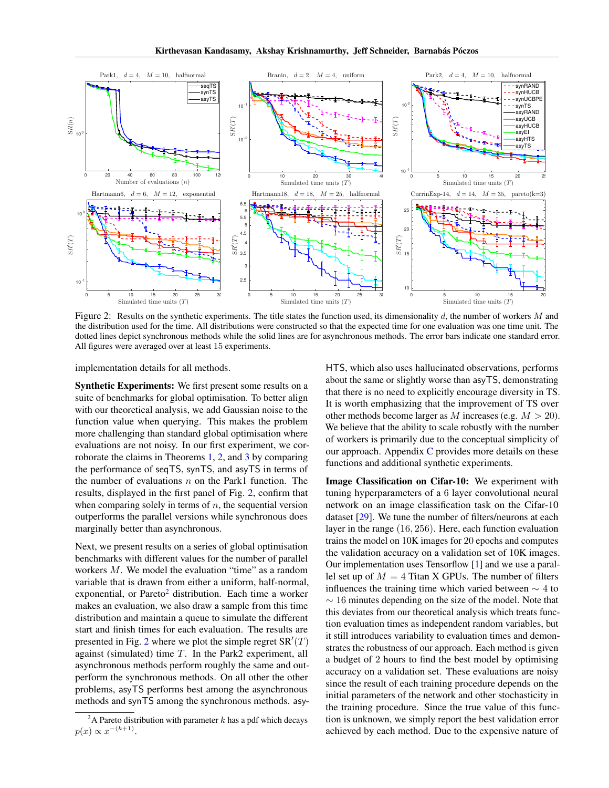

<span id="page-6-0"></span>Figure 2: Results on the synthetic experiments. The title states the function used, its dimensionality  $d$ , the number of workers  $M$  and the distribution used for the time. All distributions were constructed so that the expected time for one evaluation was one time unit. The dotted lines depict synchronous methods while the solid lines are for asynchronous methods. The error bars indicate one standard error. All figures were averaged over at least 15 experiments.

implementation details for all methods.

Synthetic Experiments: We first present some results on a suite of benchmarks for global optimisation. To better align with our theoretical analysis, we add Gaussian noise to the function value when querying. This makes the problem more challenging than standard global optimisation where evaluations are not noisy. In our first experiment, we corroborate the claims in Theorems [1,](#page-4-2) [2,](#page-4-1) and [3](#page-4-5) by comparing the performance of seqTS, synTS, and asyTS in terms of the number of evaluations  $n$  on the Park1 function. The results, displayed in the first panel of Fig. [2,](#page-6-0) confirm that when comparing solely in terms of  $n$ , the sequential version outperforms the parallel versions while synchronous does marginally better than asynchronous.

Next, we present results on a series of global optimisation benchmarks with different values for the number of parallel workers M. We model the evaluation "time" as a random variable that is drawn from either a uniform, half-normal, exponential, or Pareto<sup>[2](#page-6-1)</sup> distribution. Each time a worker makes an evaluation, we also draw a sample from this time distribution and maintain a queue to simulate the different start and finish times for each evaluation. The results are presented in Fig. [2](#page-6-0) where we plot the simple regret  $SR'(T)$ against (simulated) time  $T$ . In the Park2 experiment, all asynchronous methods perform roughly the same and outperform the synchronous methods. On all other the other problems, asyTS performs best among the asynchronous methods and synTS among the synchronous methods. asy-

HTS, which also uses hallucinated observations, performs about the same or slightly worse than asyTS, demonstrating that there is no need to explicitly encourage diversity in TS. It is worth emphasizing that the improvement of TS over other methods become larger as M increases (e.g.  $M > 20$ ). We believe that the ability to scale robustly with the number of workers is primarily due to the conceptual simplicity of our approach. Appendix [C](#page-21-0) provides more details on these functions and additional synthetic experiments.

Image Classification on Cifar-10: We experiment with tuning hyperparameters of a 6 layer convolutional neural network on an image classification task on the Cifar-10 dataset [\[29\]](#page-8-20). We tune the number of filters/neurons at each layer in the range (16, 256). Here, each function evaluation trains the model on 10K images for 20 epochs and computes the validation accuracy on a validation set of 10K images. Our implementation uses Tensorflow [\[1\]](#page-7-2) and we use a parallel set up of  $M = 4$  Titan X GPUs. The number of filters influences the training time which varied between  $\sim$  4 to  $\sim$  16 minutes depending on the size of the model. Note that this deviates from our theoretical analysis which treats function evaluation times as independent random variables, but it still introduces variability to evaluation times and demonstrates the robustness of our approach. Each method is given a budget of 2 hours to find the best model by optimising accuracy on a validation set. These evaluations are noisy since the result of each training procedure depends on the initial parameters of the network and other stochasticity in the training procedure. Since the true value of this function is unknown, we simply report the best validation error achieved by each method. Due to the expensive nature of

<span id="page-6-1"></span><sup>&</sup>lt;sup>2</sup>A Pareto distribution with parameter k has a pdf which decays  $p(x) \propto x^{-(k+1)}$ .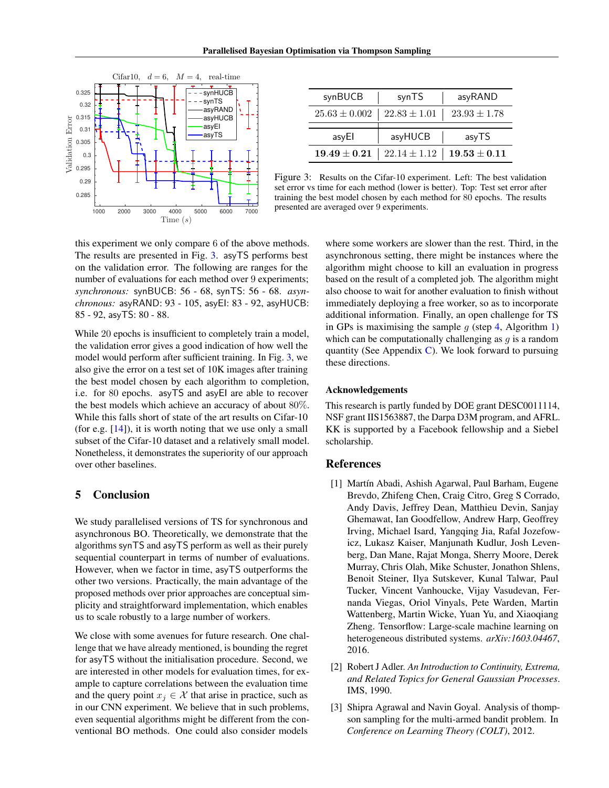

| synBUCB           | synTS                                                  | asyRAND          |
|-------------------|--------------------------------------------------------|------------------|
| $25.63 \pm 0.002$ | $22.83 \pm 1.01$                                       | $23.93 \pm 1.78$ |
|                   |                                                        |                  |
| asyEl             | asyHUCB                                                | asyTS            |
|                   | $19.49 \pm 0.21$   $22.14 \pm 1.12$   $19.53 \pm 0.11$ |                  |

<span id="page-7-3"></span>Figure 3: Results on the Cifar-10 experiment. Left: The best validation set error vs time for each method (lower is better). Top: Test set error after training the best model chosen by each method for 80 epochs. The results presented are averaged over 9 experiments.

this experiment we only compare 6 of the above methods. The results are presented in Fig. [3.](#page-7-3) asyTS performs best on the validation error. The following are ranges for the number of evaluations for each method over 9 experiments; *synchronous:* synBUCB: 56 - 68, synTS: 56 - 68. *asynchronous:* asyRAND: 93 - 105, asyEI: 83 - 92, asyHUCB: 85 - 92, asyTS: 80 - 88.

While 20 epochs is insufficient to completely train a model, the validation error gives a good indication of how well the model would perform after sufficient training. In Fig. [3,](#page-7-3) we also give the error on a test set of 10K images after training the best model chosen by each algorithm to completion, i.e. for 80 epochs. asyTS and asyEI are able to recover the best models which achieve an accuracy of about 80%. While this falls short of state of the art results on Cifar-10 (for e.g. [\[14\]](#page-8-21)), it is worth noting that we use only a small subset of the Cifar-10 dataset and a relatively small model. Nonetheless, it demonstrates the superiority of our approach over other baselines.

# <span id="page-7-1"></span>5 Conclusion

We study parallelised versions of TS for synchronous and asynchronous BO. Theoretically, we demonstrate that the algorithms synTS and asyTS perform as well as their purely sequential counterpart in terms of number of evaluations. However, when we factor in time, asyTS outperforms the other two versions. Practically, the main advantage of the proposed methods over prior approaches are conceptual simplicity and straightforward implementation, which enables us to scale robustly to a large number of workers.

We close with some avenues for future research. One challenge that we have already mentioned, is bounding the regret for asyTS without the initialisation procedure. Second, we are interested in other models for evaluation times, for example to capture correlations between the evaluation time and the query point  $x_j \in \mathcal{X}$  that arise in practice, such as in our CNN experiment. We believe that in such problems, even sequential algorithms might be different from the conventional BO methods. One could also consider models

where some workers are slower than the rest. Third, in the asynchronous setting, there might be instances where the algorithm might choose to kill an evaluation in progress based on the result of a completed job. The algorithm might also choose to wait for another evaluation to finish without immediately deploying a free worker, so as to incorporate additional information. Finally, an open challenge for TS in GPs is maximising the sample  $g$  (step [4,](#page-3-7) Algorithm [1\)](#page-3-0) which can be computationally challenging as  $q$  is a random quantity (See Appendix [C\)](#page-21-0). We look forward to pursuing these directions.

#### Acknowledgements

This research is partly funded by DOE grant DESC0011114, NSF grant IIS1563887, the Darpa D3M program, and AFRL. KK is supported by a Facebook fellowship and a Siebel scholarship.

#### References

- <span id="page-7-2"></span>[1] Martín Abadi, Ashish Agarwal, Paul Barham, Eugene Brevdo, Zhifeng Chen, Craig Citro, Greg S Corrado, Andy Davis, Jeffrey Dean, Matthieu Devin, Sanjay Ghemawat, Ian Goodfellow, Andrew Harp, Geoffrey Irving, Michael Isard, Yangqing Jia, Rafal Jozefowicz, Lukasz Kaiser, Manjunath Kudlur, Josh Levenberg, Dan Mane, Rajat Monga, Sherry Moore, Derek Murray, Chris Olah, Mike Schuster, Jonathon Shlens, Benoit Steiner, Ilya Sutskever, Kunal Talwar, Paul Tucker, Vincent Vanhoucke, Vijay Vasudevan, Fernanda Viegas, Oriol Vinyals, Pete Warden, Martin Wattenberg, Martin Wicke, Yuan Yu, and Xiaoqiang Zheng. Tensorflow: Large-scale machine learning on heterogeneous distributed systems. *arXiv:1603.04467*, 2016.
- <span id="page-7-4"></span>[2] Robert J Adler. *An Introduction to Continuity, Extrema, and Related Topics for General Gaussian Processes*. IMS, 1990.
- <span id="page-7-0"></span>[3] Shipra Agrawal and Navin Goyal. Analysis of thompson sampling for the multi-armed bandit problem. In *Conference on Learning Theory (COLT)*, 2012.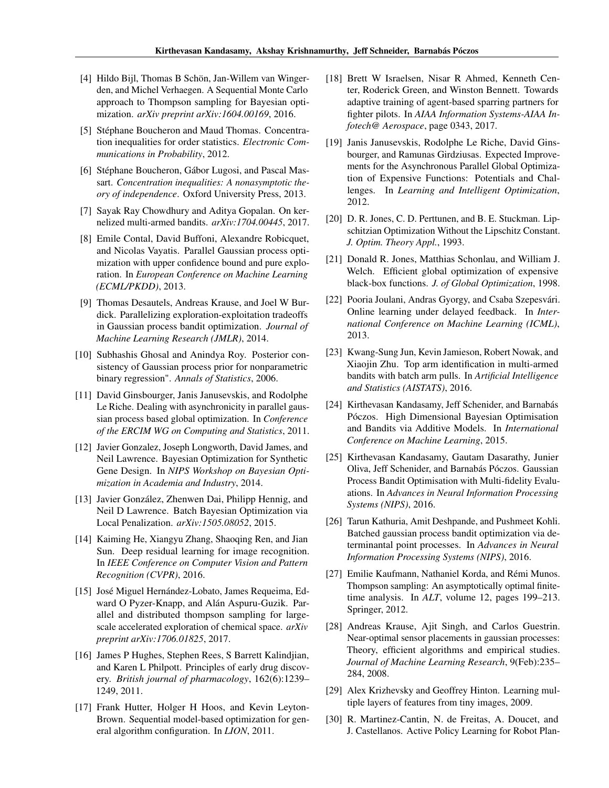- <span id="page-8-4"></span>[4] Hildo Bijl, Thomas B Schön, Jan-Willem van Wingerden, and Michel Verhaegen. A Sequential Monte Carlo approach to Thompson sampling for Bayesian optimization. *arXiv preprint arXiv:1604.00169*, 2016.
- <span id="page-8-23"></span>[5] Stéphane Boucheron and Maud Thomas. Concentration inequalities for order statistics. *Electronic Communications in Probability*, 2012.
- <span id="page-8-19"></span>[6] Stéphane Boucheron, Gábor Lugosi, and Pascal Massart. *Concentration inequalities: A nonasymptotic theory of independence*. Oxford University Press, 2013.
- <span id="page-8-5"></span>[7] Sayak Ray Chowdhury and Aditya Gopalan. On kernelized multi-armed bandits. *arXiv:1704.00445*, 2017.
- <span id="page-8-7"></span>[8] Emile Contal, David Buffoni, Alexandre Robicquet, and Nicolas Vayatis. Parallel Gaussian process optimization with upper confidence bound and pure exploration. In *European Conference on Machine Learning (ECML/PKDD)*, 2013.
- <span id="page-8-8"></span>[9] Thomas Desautels, Andreas Krause, and Joel W Burdick. Parallelizing exploration-exploitation tradeoffs in Gaussian process bandit optimization. *Journal of Machine Learning Research (JMLR)*, 2014.
- <span id="page-8-22"></span>[10] Subhashis Ghosal and Anindya Roy. Posterior consistency of Gaussian process prior for nonparametric binary regression". *Annals of Statistics*, 2006.
- <span id="page-8-9"></span>[11] David Ginsbourger, Janis Janusevskis, and Rodolphe Le Riche. Dealing with asynchronicity in parallel gaussian process based global optimization. In *Conference of the ERCIM WG on Computing and Statistics*, 2011.
- <span id="page-8-0"></span>[12] Javier Gonzalez, Joseph Longworth, David James, and Neil Lawrence. Bayesian Optimization for Synthetic Gene Design. In *NIPS Workshop on Bayesian Optimization in Academia and Industry*, 2014.
- <span id="page-8-10"></span>[13] Javier González, Zhenwen Dai, Philipp Hennig, and Neil D Lawrence. Batch Bayesian Optimization via Local Penalization. *arXiv:1505.08052*, 2015.
- <span id="page-8-21"></span>[14] Kaiming He, Xiangyu Zhang, Shaoqing Ren, and Jian Sun. Deep residual learning for image recognition. In *IEEE Conference on Computer Vision and Pattern Recognition (CVPR)*, 2016.
- <span id="page-8-13"></span>[15] José Miguel Hernández-Lobato, James Requeima, Edward O Pyzer-Knapp, and Alán Aspuru-Guzik. Parallel and distributed thompson sampling for largescale accelerated exploration of chemical space. *arXiv preprint arXiv:1706.01825*, 2017.
- <span id="page-8-18"></span>[16] James P Hughes, Stephen Rees, S Barrett Kalindjian, and Karen L Philpott. Principles of early drug discovery. *British journal of pharmacology*, 162(6):1239– 1249, 2011.
- <span id="page-8-1"></span>[17] Frank Hutter, Holger H Hoos, and Kevin Leyton-Brown. Sequential model-based optimization for general algorithm configuration. In *LION*, 2011.
- <span id="page-8-14"></span>[18] Brett W Israelsen, Nisar R Ahmed, Kenneth Center, Roderick Green, and Winston Bennett. Towards adaptive training of agent-based sparring partners for fighter pilots. In *AIAA Information Systems-AIAA Infotech@ Aerospace*, page 0343, 2017.
- <span id="page-8-11"></span>[19] Janis Janusevskis, Rodolphe Le Riche, David Ginsbourger, and Ramunas Girdziusas. Expected Improvements for the Asynchronous Parallel Global Optimization of Expensive Functions: Potentials and Challenges. In *Learning and Intelligent Optimization*, 2012.
- <span id="page-8-25"></span>[20] D. R. Jones, C. D. Perttunen, and B. E. Stuckman. Lipschitzian Optimization Without the Lipschitz Constant. *J. Optim. Theory Appl.*, 1993.
- <span id="page-8-3"></span>[21] Donald R. Jones, Matthias Schonlau, and William J. Welch. Efficient global optimization of expensive black-box functions. *J. of Global Optimization*, 1998.
- <span id="page-8-15"></span>[22] Pooria Joulani, Andras Gyorgy, and Csaba Szepesvári. Online learning under delayed feedback. In *International Conference on Machine Learning (ICML)*, 2013.
- <span id="page-8-16"></span>[23] Kwang-Sung Jun, Kevin Jamieson, Robert Nowak, and Xiaojin Zhu. Top arm identification in multi-armed bandits with batch arm pulls. In *Artificial Intelligence and Statistics (AISTATS)*, 2016.
- <span id="page-8-24"></span>[24] Kirthevasan Kandasamy, Jeff Schenider, and Barnabás Póczos. High Dimensional Bayesian Optimisation and Bandits via Additive Models. In *International Conference on Machine Learning*, 2015.
- <span id="page-8-26"></span>[25] Kirthevasan Kandasamy, Gautam Dasarathy, Junier Oliva, Jeff Schenider, and Barnabás Póczos. Gaussian Process Bandit Optimisation with Multi-fidelity Evaluations. In *Advances in Neural Information Processing Systems (NIPS)*, 2016.
- <span id="page-8-12"></span>[26] Tarun Kathuria, Amit Deshpande, and Pushmeet Kohli. Batched gaussian process bandit optimization via determinantal point processes. In *Advances in Neural Information Processing Systems (NIPS)*, 2016.
- <span id="page-8-6"></span>[27] Emilie Kaufmann, Nathaniel Korda, and Rémi Munos. Thompson sampling: An asymptotically optimal finitetime analysis. In *ALT*, volume 12, pages 199–213. Springer, 2012.
- <span id="page-8-17"></span>[28] Andreas Krause, Ajit Singh, and Carlos Guestrin. Near-optimal sensor placements in gaussian processes: Theory, efficient algorithms and empirical studies. *Journal of Machine Learning Research*, 9(Feb):235– 284, 2008.
- <span id="page-8-20"></span>[29] Alex Krizhevsky and Geoffrey Hinton. Learning multiple layers of features from tiny images, 2009.
- <span id="page-8-2"></span>[30] R. Martinez-Cantin, N. de Freitas, A. Doucet, and J. Castellanos. Active Policy Learning for Robot Plan-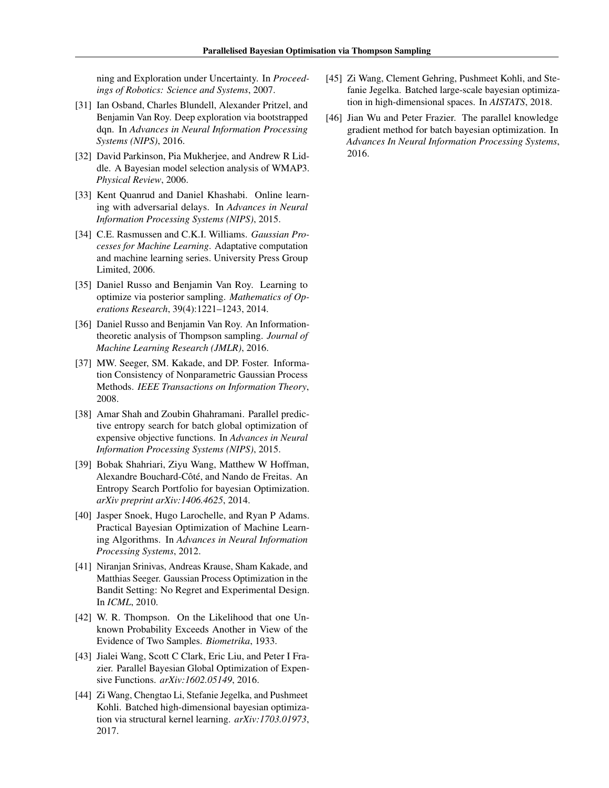ning and Exploration under Uncertainty. In *Proceedings of Robotics: Science and Systems*, 2007.

- <span id="page-9-10"></span>[31] Ian Osband, Charles Blundell, Alexander Pritzel, and Benjamin Van Roy. Deep exploration via bootstrapped dqn. In *Advances in Neural Information Processing Systems (NIPS)*, 2016.
- <span id="page-9-0"></span>[32] David Parkinson, Pia Mukherjee, and Andrew R Liddle. A Bayesian model selection analysis of WMAP3. *Physical Review*, 2006.
- <span id="page-9-11"></span>[33] Kent Quanrud and Daniel Khashabi. Online learning with adversarial delays. In *Advances in Neural Information Processing Systems (NIPS)*, 2015.
- <span id="page-9-12"></span>[34] C.E. Rasmussen and C.K.I. Williams. *Gaussian Processes for Machine Learning*. Adaptative computation and machine learning series. University Press Group Limited, 2006.
- <span id="page-9-5"></span>[35] Daniel Russo and Benjamin Van Roy. Learning to optimize via posterior sampling. *Mathematics of Operations Research*, 39(4):1221–1243, 2014.
- <span id="page-9-6"></span>[36] Daniel Russo and Benjamin Van Roy. An Informationtheoretic analysis of Thompson sampling. *Journal of Machine Learning Research (JMLR)*, 2016.
- <span id="page-9-13"></span>[37] MW. Seeger, SM. Kakade, and DP. Foster. Information Consistency of Nonparametric Gaussian Process Methods. *IEEE Transactions on Information Theory*, 2008.
- <span id="page-9-7"></span>[38] Amar Shah and Zoubin Ghahramani. Parallel predictive entropy search for batch global optimization of expensive objective functions. In *Advances in Neural Information Processing Systems (NIPS)*, 2015.
- <span id="page-9-4"></span>[39] Bobak Shahriari, Ziyu Wang, Matthew W Hoffman, Alexandre Bouchard-Côté, and Nando de Freitas. An Entropy Search Portfolio for bayesian Optimization. *arXiv preprint arXiv:1406.4625*, 2014.
- <span id="page-9-1"></span>[40] Jasper Snoek, Hugo Larochelle, and Ryan P Adams. Practical Bayesian Optimization of Machine Learning Algorithms. In *Advances in Neural Information Processing Systems*, 2012.
- <span id="page-9-2"></span>[41] Niranjan Srinivas, Andreas Krause, Sham Kakade, and Matthias Seeger. Gaussian Process Optimization in the Bandit Setting: No Regret and Experimental Design. In *ICML*, 2010.
- <span id="page-9-3"></span>[42] W. R. Thompson. On the Likelihood that one Unknown Probability Exceeds Another in View of the Evidence of Two Samples. *Biometrika*, 1933.
- <span id="page-9-8"></span>[43] Jialei Wang, Scott C Clark, Eric Liu, and Peter I Frazier. Parallel Bayesian Global Optimization of Expensive Functions. *arXiv:1602.05149*, 2016.
- [44] Zi Wang, Chengtao Li, Stefanie Jegelka, and Pushmeet Kohli. Batched high-dimensional bayesian optimization via structural kernel learning. *arXiv:1703.01973*, 2017.
- [45] Zi Wang, Clement Gehring, Pushmeet Kohli, and Stefanie Jegelka. Batched large-scale bayesian optimization in high-dimensional spaces. In *AISTATS*, 2018.
- <span id="page-9-9"></span>[46] Jian Wu and Peter Frazier. The parallel knowledge gradient method for batch bayesian optimization. In *Advances In Neural Information Processing Systems*, 2016.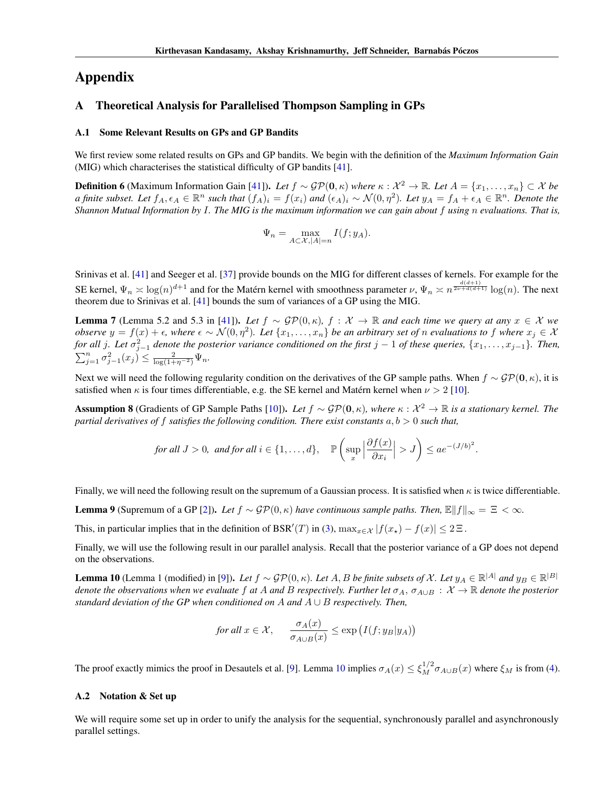# Appendix

# <span id="page-10-0"></span>A Theoretical Analysis for Parallelised Thompson Sampling in GPs

#### A.1 Some Relevant Results on GPs and GP Bandits

We first review some related results on GPs and GP bandits. We begin with the definition of the *Maximum Information Gain* (MIG) which characterises the statistical difficulty of GP bandits [\[41\]](#page-9-2).

<span id="page-10-3"></span>**Definition 6** (Maximum Information Gain [\[41\]](#page-9-2)). Let  $f \sim \mathcal{GP}(\mathbf{0}, \kappa)$  where  $\kappa : \mathcal{X}^2 \to \mathbb{R}$ . Let  $A = \{x_1, \ldots, x_n\} \subset \mathcal{X}$  be *a finite subset. Let*  $f_A, \epsilon_A \in \mathbb{R}^n$  *such that*  $(f_A)_i = f(x_i)$  *and*  $(\epsilon_A)_i \sim \mathcal{N}(0, \eta^2)$ *. Let*  $y_A = f_A + \epsilon_A \in \mathbb{R}^n$ *. Denote the Shannon Mutual Information by* I*. The MIG is the maximum information we can gain about* f *using* n *evaluations. That is,*

$$
\Psi_n = \max_{A \subset \mathcal{X}, |A| = n} I(f; y_A).
$$

Srinivas et al. [\[41\]](#page-9-2) and Seeger et al. [\[37\]](#page-9-13) provide bounds on the MIG for different classes of kernels. For example for the SE kernel,  $\Psi_n \approx \log(n)^{d+1}$  and for the Matérn kernel with smoothness parameter  $\nu$ ,  $\Psi_n \approx n^{\frac{d(d+1)}{2\nu+d(d+1)}}\log(n)$ . The next theorem due to Srinivas et al. [\[41\]](#page-9-2) bounds the sum of variances of a GP using the MIG.

<span id="page-10-4"></span>**Lemma** 7 (Lemma 5.2 and 5.3 in [\[41\]](#page-9-2)). Let  $f \sim GP(0, \kappa)$ ,  $f : \mathcal{X} \to \mathbb{R}$  and each time we query at any  $x \in \mathcal{X}$  we *observe*  $y = f(x) + \epsilon$ , where  $\epsilon \sim \mathcal{N}(0, \eta^2)$ . Let  $\{x_1, \ldots, x_n\}$  be an arbitrary set of *n* evaluations to f where  $x_j \in \mathcal{X}$ *for all* j. Let  $\sigma_{j-1}^2$  denote the posterior variance conditioned on the first j  $-1$  of these queries,  $\{x_1,\ldots,x_{j-1}\}$ . Then,  $\sum_{j=1}^n \sigma_{j-1}^2(x_j) \leq \frac{2}{\log(1+\eta^{-2})} \Psi_n.$ 

Next we will need the following regularity condition on the derivatives of the GP sample paths. When  $f \sim \mathcal{GP}(\mathbf{0}, \kappa)$ , it is satisfied when  $\kappa$  is four times differentiable, e.g. the SE kernel and Matérn kernel when  $\nu > 2$  [\[10\]](#page-8-22).

<span id="page-10-2"></span>**Assumption 8** (Gradients of GP Sample Paths [\[10\]](#page-8-22)). Let  $f \sim \mathcal{GP}(\mathbf{0}, \kappa)$ , where  $\kappa : \mathcal{X}^2 \to \mathbb{R}$  is a stationary kernel. The *partial derivatives of f satisfies the following condition. There exist constants*  $a, b > 0$  *such that,* 

for all 
$$
J > 0
$$
, and for all  $i \in \{1, ..., d\}$ ,  $\mathbb{P}\left(\sup_x \left|\frac{\partial f(x)}{\partial x_i}\right| > J\right) \leq a e^{-(J/b)^2}$ .

Finally, we will need the following result on the supremum of a Gaussian process. It is satisfied when  $\kappa$  is twice differentiable.

<span id="page-10-5"></span>**Lemma 9** (Supremum of a GP [\[2\]](#page-7-4)). *Let*  $f \sim \mathcal{GP}(0, \kappa)$  *have continuous sample paths. Then,*  $\mathbb{E}||f||_{\infty} = \mathbb{E} < \infty$ .

This, in particular implies that in the definition of BSR'(T) in [\(3\)](#page-2-0),  $\max_{x \in \mathcal{X}} |f(x_{\star}) - f(x)| \leq 2 \Xi$ .

Finally, we will use the following result in our parallel analysis. Recall that the posterior variance of a GP does not depend on the observations.

<span id="page-10-1"></span>**Lemma 10** (Lemma 1 (modified) in [\[9\]](#page-8-8)). Let  $f \sim \mathcal{GP}(0, \kappa)$ . Let  $A, B$  be finite subsets of  $\mathcal{X}$ . Let  $y_A \in \mathbb{R}^{|A|}$  and  $y_B \in \mathbb{R}^{|B|}$ *denote the observations when we evaluate* f at A and B respectively. Further let  $\sigma_A$ ,  $\sigma_{A\cup B}$  :  $\mathcal{X} \to \mathbb{R}$  denote the posterior *standard deviation of the GP when conditioned on* A *and* A ∪ B *respectively. Then,*

for all 
$$
x \in \mathcal{X}
$$
,  $\frac{\sigma_A(x)}{\sigma_{A \cup B}(x)} \le \exp(I(f; y_B|y_A))$ 

The proof exactly mimics the proof in Desautels et al. [\[9\]](#page-8-8). Lemma [10](#page-10-1) implies  $\sigma_A(x) \leq \xi_M^{1/2} \sigma_{A \cup B}(x)$  where  $\xi_M$  is from [\(4\)](#page-4-1).

### A.2 Notation & Set up

We will require some set up in order to unify the analysis for the sequential, synchronously parallel and asynchronously parallel settings.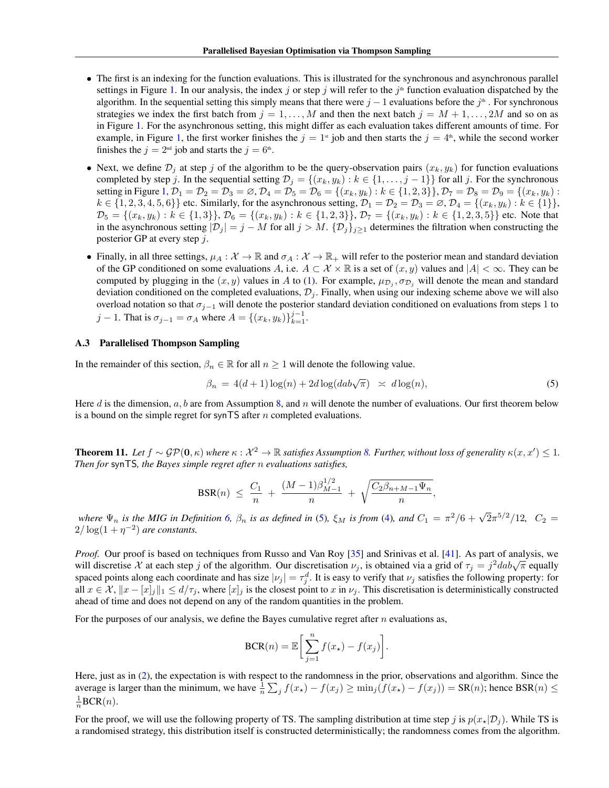- The first is an indexing for the function evaluations. This is illustrated for the synchronous and asynchronous parallel settings in Figure [1.](#page-2-0) In our analysis, the index j or step j will refer to the j<sup>th</sup> function evaluation dispatched by the algorithm. In the sequential setting this simply means that there were  $j-1$  evaluations before the  $j^{\text{th}}$ . For synchronous strategies we index the first batch from  $j = 1, \ldots, M$  and then the next batch  $j = M + 1, \ldots, 2M$  and so on as in Figure [1.](#page-2-0) For the asynchronous setting, this might differ as each evaluation takes different amounts of time. For example, in Figure [1,](#page-2-0) the first worker finishes the  $j = 1$ <sup>st</sup> job and then starts the  $j = 4$ <sup>th</sup>, while the second worker finishes the  $j = 2<sup>nd</sup>$  job and starts the  $j = 6<sup>th</sup>$ .
- Next, we define  $\mathcal{D}_j$  at step j of the algorithm to be the query-observation pairs  $(x_k, y_k)$  for function evaluations completed by step j. In the sequential setting  $\mathcal{D}_j = \{(x_k, y_k) : k \in \{1, \ldots, j-1\}\}\$  for all j. For the synchronous setting in Figure [1,](#page-2-0)  $\mathcal{D}_1 = \mathcal{D}_2 = \mathcal{D}_3 = \emptyset$ ,  $\mathcal{D}_4 = \mathcal{D}_5 = \mathcal{D}_6 = \{(x_k, y_k) : k \in \{1, 2, 3\} \}$ ,  $\mathcal{D}_7 = \mathcal{D}_8 = \mathcal{D}_9 = \{(x_k, y_k) : k \in \{1, 2, 3\} \}$  $k \in \{1, 2, 3, 4, 5, 6\}$  etc. Similarly, for the asynchronous setting,  $\mathcal{D}_1 = \mathcal{D}_2 = \mathcal{D}_3 = \emptyset$ ,  $\mathcal{D}_4 = \{(x_k, y_k) : k \in \{1\}\},\$  $\mathcal{D}_5 = \{(x_k, y_k) : k \in \{1, 3\}\}\$ ,  $\mathcal{D}_6 = \{(x_k, y_k) : k \in \{1, 2, 3\}\}\$ ,  $\mathcal{D}_7 = \{(x_k, y_k) : k \in \{1, 2, 3, 5\}\}$  etc. Note that in the asynchronous setting  $|\mathcal{D}_j| = j - M$  for all  $j > M$ .  $\{\mathcal{D}_j\}_{j \geq 1}$  determines the filtration when constructing the posterior GP at every step j.
- Finally, in all three settings,  $\mu_A : \mathcal{X} \to \mathbb{R}$  and  $\sigma_A : \mathcal{X} \to \mathbb{R}_+$  will refer to the posterior mean and standard deviation of the GP conditioned on some evaluations A, i.e.  $A \subset \mathcal{X} \times \mathbb{R}$  is a set of  $(x, y)$  values and  $|A| < \infty$ . They can be computed by plugging in the  $(x, y)$  values in A to [\(1\)](#page-1-0). For example,  $\mu_{\mathcal{D}_j}, \sigma_{\mathcal{D}_j}$  will denote the mean and standard deviation conditioned on the completed evaluations,  $\mathcal{D}_j$ . Finally, when using our indexing scheme above we will also overload notation so that  $\sigma_{j-1}$  will denote the posterior standard deviation conditioned on evaluations from steps 1 to j − 1. That is  $\sigma_{j-1} = \sigma_A$  where  $A = \{(x_k, y_k)\}_{k=1}^{j-1}$ .

#### <span id="page-11-0"></span>A.3 Parallelised Thompson Sampling

In the remainder of this section,  $\beta_n \in \mathbb{R}$  for all  $n \geq 1$  will denote the following value.

$$
\beta_n = 4(d+1)\log(n) + 2d\log(dab\sqrt{\pi}) \approx d\log(n),\tag{5}
$$

Here d is the dimension,  $a, b$  are from Assumption [8,](#page-10-2) and n will denote the number of evaluations. Our first theorem below is a bound on the simple regret for synTS after  $n$  completed evaluations.

<span id="page-11-1"></span>**Theorem 11.** Let  $f \sim \mathcal{GP}(\mathbf{0}, \kappa)$  where  $\kappa : \mathcal{X}^2 \to \mathbb{R}$  satisfies Assumption [8.](#page-10-2) Further, without loss of generality  $\kappa(x, x') \leq 1$ . *Then for* synTS*, the Bayes simple regret after* n *evaluations satisfies,*

$$
\text{BSR}(n) \ \leq \ \frac{C_1}{n} \ + \ \frac{(M-1)\beta_{M-1}^{1/2}}{n} \ + \ \sqrt{\frac{C_2\beta_{n+M-1}\Psi_n}{n}},
$$

*where*  $\Psi_n$  *is the MIG in Definition* [6,](#page-10-3)  $\beta_n$  *is as defined in* [\(5\)](#page-11-0),  $\xi_M$  *is from* [\(4\)](#page-4-1), *and*  $C_1 = \pi^2/6 + \sqrt{2\pi^{5/2}}/12$ ,  $C_2 =$  $2/\log(1+\eta^{-2})$  are constants.

*Proof.* Our proof is based on techniques from Russo and Van Roy [\[35\]](#page-9-5) and Srinivas et al. [\[41\]](#page-9-2). As part of analysis, we *Froof.* Our proof is based on decliniques from Russo and van Roy [55] and Stiffwas et al. [41]. As part of analysis, we will discretise X at each step j of the algorithm. Our discretisation  $\nu_j$ , is obtained via a grid spaced points along each coordinate and has size  $|v_j| = \tau_j^d$ . It is easy to verify that  $v_j$  satisfies the following property: for all  $x \in \mathcal{X}$ ,  $||x - [x]_j||_1 \le d/\tau_j$ , where  $[x]_j$  is the closest point to x in  $\nu_j$ . This discretisation is deterministically constructed ahead of time and does not depend on any of the random quantities in the problem.

For the purposes of our analysis, we define the Bayes cumulative regret after  $n$  evaluations as,

$$
\text{BCR}(n) = \mathbb{E}\bigg[\sum_{j=1}^{n} f(x_{\star}) - f(x_{j})\bigg].
$$

Here, just as in [\(2\)](#page-2-0), the expectation is with respect to the randomness in the prior, observations and algorithm. Since the average is larger than the minimum, we have  $\frac{1}{n}\sum_j f(x_\star) - f(x_j) \ge \min_j (f(x_\star) - f(x_j)) = \text{SR}(n)$ ; hence  $\text{BSR}(n) \le$  $\frac{1}{n}$ BCR $(n)$ .

For the proof, we will use the following property of TS. The sampling distribution at time step j is  $p(x_2|\mathcal{D}_i)$ . While TS is a randomised strategy, this distribution itself is constructed deterministically; the randomness comes from the algorithm.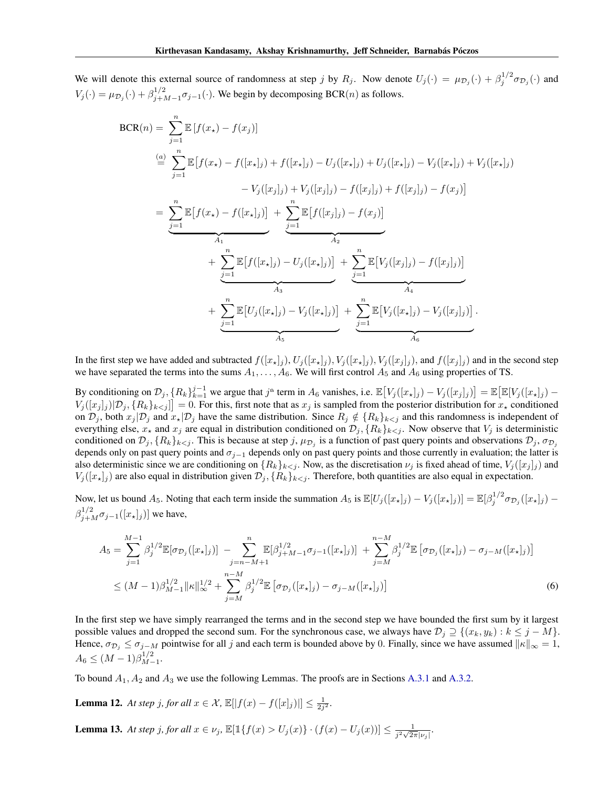We will denote this external source of randomness at step j by  $R_j$ . Now denote  $U_j(\cdot) = \mu_{\mathcal{D}_j}(\cdot) + \beta_j^{1/2} \sigma_{\mathcal{D}_j}(\cdot)$  and  $V_j(\cdot) = \mu_{\mathcal{D}_j}(\cdot) + \beta_{j+l}^{1/2}$  $j_{j+M-1}^{1/2}$  $\sigma_{j-1}(\cdot)$ . We begin by decomposing BCR(n) as follows.

$$
BCR(n) = \sum_{j=1}^{n} \mathbb{E} [f(x_{\star}) - f(x_{j})]
$$
\n
$$
\stackrel{(a)}{=} \sum_{j=1}^{n} \mathbb{E} [f(x_{\star}) - f([x_{\star}]_{j}) + f([x_{\star}]_{j}) - U_{j}([x_{\star}]_{j}) + U_{j}([x_{\star}]_{j}) - V_{j}([x_{\star}]_{j}) + V_{j}([x_{\star}]_{j})
$$
\n
$$
- V_{j}([x_{j}]_{j}) + V_{j}([x_{j}]_{j}) - f([x_{j}]_{j}) + f([x_{j}]_{j}) - f(x_{j})]
$$
\n
$$
= \sum_{j=1}^{n} \mathbb{E} [f(x_{\star}) - f([x_{\star}]_{j})] + \sum_{j=1}^{n} \mathbb{E} [f([x_{j}]_{j}) - f(x_{j})]
$$
\n
$$
+ \sum_{j=1}^{n} \mathbb{E} [f([x_{\star}]_{j}) - U_{j}([x_{\star}]_{j})] + \sum_{j=1}^{n} \mathbb{E} [V_{j}([x_{j}]_{j}) - f([x_{j}]_{j})]
$$
\n
$$
+ \sum_{j=1}^{n} \mathbb{E} [U_{j}([x_{\star}]_{j}) - V_{j}([x_{\star}]_{j})] + \sum_{j=1}^{n} \mathbb{E} [V_{j}([x_{\star}]_{j}) - V_{j}([x_{j}]_{j})].
$$

In the first step we have added and subtracted  $f([x_{\star}]_j)$ ,  $U_j([x_{\star}]_j)$ ,  $V_j([x_{\star}]_j)$ ,  $V_j([x_j]_j)$ , and  $f([x_j]_j)$  and in the second step we have separated the terms into the sums  $A_1, \ldots, A_6$ . We will first control  $A_5$  and  $A_6$  using properties of TS.

By conditioning on  $\mathcal{D}_j$ ,  $\{R_k\}_{k=1}^{j-1}$  we argue that  $j^{\text{th}}$  term in  $A_6$  vanishes, i.e.  $\mathbb{E}[V_j([x_*]_j) - V_j([x_j]_j)] = \mathbb{E}[\mathbb{E}[V_j([x_*]_j) - V_j([x_j]_j)]]$  $V_j([x_j]_j)[\mathcal{D}_j,\{R_k\}_{k\leq j}]=0.$  For this, first note that as  $x_j$  is sampled from the posterior distribution for  $x_{\star}$  conditioned on  $\mathcal{D}_j$ , both  $x_j | \mathcal{D}_j$  and  $x_k | \mathcal{D}_j$  have the same distribution. Since  $R_j \notin \{R_k\}_{k \leq j}$  and this randomness is independent of everything else,  $x_*$  and  $x_j$  are equal in distribution conditioned on  $\mathcal{D}_j$ ,  $\{R_k\}_{k\leq j}$ . Now observe that  $V_j$  is deterministic conditioned on  $\mathcal{D}_j$ ,  $\{R_k\}_{k\leq j}$ . This is because at step  $j$ ,  $\mu_{\mathcal{D}_j}$  is a function of past query points and observations  $\mathcal{D}_j$ ,  $\sigma_{\mathcal{D}_j}$ depends only on past query points and  $\sigma_{j-1}$  depends only on past query points and those currently in evaluation; the latter is also deterministic since we are conditioning on  ${R_k}_{k \leq j}$ . Now, as the discretisation  $\nu_j$  is fixed ahead of time,  $V_j([x_j]_j)$  and  $V_i([x_{\star}]_i)$  are also equal in distribution given  $\mathcal{D}_i$ ,  $\{R_k\}_{k \leq i}$ . Therefore, both quantities are also equal in expectation.

Now, let us bound  $A_5$ . Noting that each term inside the summation  $A_5$  is  $\mathbb{E}[U_j([x_\star]_j) - V_j([x_\star]_j)] = \mathbb{E}[\beta_j^{1/2} \sigma_{\mathcal{D}_j}([x_\star]_j) \beta_{j+M}^{1/2} \sigma_{j-1}([x_{\star}]_j)$ ] we have,

$$
A_{5} = \sum_{j=1}^{M-1} \beta_{j}^{1/2} \mathbb{E}[\sigma_{\mathcal{D}_{j}}([x_{\star}]_{j})] - \sum_{j=n-M+1}^{n} \mathbb{E}[\beta_{j+M-1}^{1/2} \sigma_{j-1}([x_{\star}]_{j})] + \sum_{j=M}^{n-M} \beta_{j}^{1/2} \mathbb{E}[\sigma_{\mathcal{D}_{j}}([x_{\star}]_{j}) - \sigma_{j-M}([x_{\star}]_{j})]
$$
  

$$
\leq (M-1)\beta_{M-1}^{1/2} \|\kappa\|_{\infty}^{1/2} + \sum_{j=M}^{n-M} \beta_{j}^{1/2} \mathbb{E}[\sigma_{\mathcal{D}_{j}}([x_{\star}]_{j}) - \sigma_{j-M}([x_{\star}]_{j})]
$$
(6)

In the first step we have simply rearranged the terms and in the second step we have bounded the first sum by it largest possible values and dropped the second sum. For the synchronous case, we always have  $\mathcal{D}_j \supseteq \{(x_k, y_k) : k \leq j - M\}$ . Hence,  $\sigma_{\mathcal{D}_j} \leq \sigma_{j-M}$  pointwise for all j and each term is bounded above by 0. Finally, since we have assumed  $||\kappa||_{\infty} = 1$ ,  $A_6 \leq (M-1)\beta_{M-}^{1/2}$  $\frac{1}{2}$ .

<span id="page-12-0"></span>To bound  $A_1$ ,  $A_2$  and  $A_3$  we use the following Lemmas. The proofs are in Sections [A.3.1](#page-14-2) and [A.3.2.](#page-14-3)

**Lemma 12.** At step j, for all  $x \in \mathcal{X}$ ,  $\mathbb{E}[|f(x) - f([x]_j)|] \le \frac{1}{2j^2}$ .

<span id="page-12-1"></span>**Lemma 13.** At step j, for all  $x \in \nu_j$ ,  $\mathbb{E}[\mathbb{1}\{f(x) > U_j(x)\} \cdot (f(x) - U_j(x))] \le \frac{1}{i^2 \sqrt{2}}$  $rac{1}{j^2\sqrt{2\pi}|\nu_j|}$ .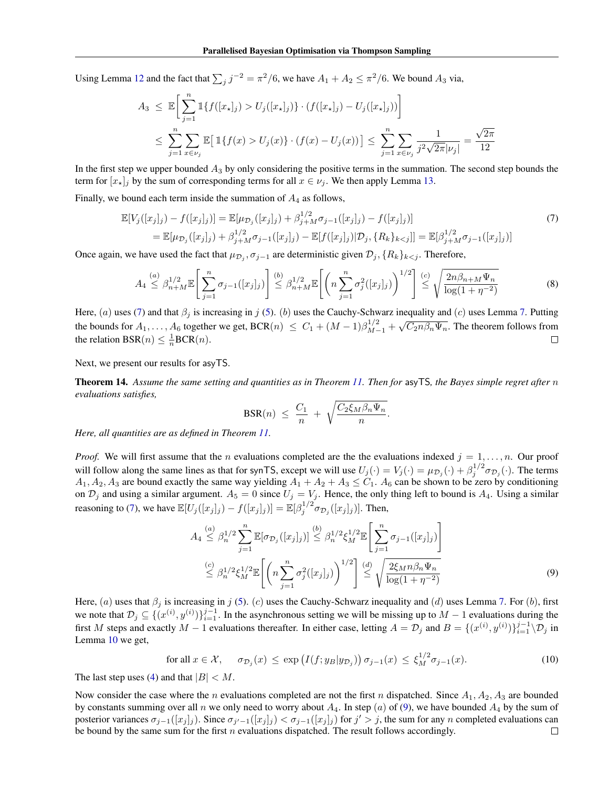Using Lemma [12](#page-12-0) and the fact that  $\sum_j j^{-2} = \pi^2/6$ , we have  $A_1 + A_2 \le \pi^2/6$ . We bound  $A_3$  via,

$$
A_3 \leq \mathbb{E} \Bigg[ \sum_{j=1}^n \mathbb{1} \{ f([x_*]_j) > U_j([x_*]_j) \} \cdot (f([x_*]_j) - U_j([x_*]_j)) \Bigg] \Bigg]
$$
\n
$$
\leq \sum_{j=1}^n \sum_{x \in \nu_j} \mathbb{E} \big[ \mathbb{1} \{ f(x) > U_j(x) \} \cdot (f(x) - U_j(x)) \big] \leq \sum_{j=1}^n \sum_{x \in \nu_j} \frac{1}{j^2 \sqrt{2\pi |\nu_j|}} = \frac{\sqrt{2\pi}}{12}
$$

In the first step we upper bounded  $A_3$  by only considering the positive terms in the summation. The second step bounds the term for  $[x_{\star}]_j$  by the sum of corresponding terms for all  $x \in \nu_j$ . We then apply Lemma [13.](#page-12-1)

Finally, we bound each term inside the summation of  $A_4$  as follows,

$$
\mathbb{E}[V_j([x_j]_j) - f([x_j]_j)] = \mathbb{E}[\mu_{\mathcal{D}_j}([x_j]_j) + \beta_{j+M}^{1/2} \sigma_{j-1}([x_j]_j) - f([x_j]_j)]
$$
\n
$$
= \mathbb{E}[\mu_{\mathcal{D}_j}([x_j]_j) + \beta_{j+M}^{1/2} \sigma_{j-1}([x_j]_j) - \mathbb{E}[f([x_j]_j)|\mathcal{D}_j, \{R_k\}_{k < j}]] = \mathbb{E}[\beta_{j+M}^{1/2} \sigma_{j-1}([x_j]_j)]
$$
\n(7)

Once again, we have used the fact that  $\mu_{\mathcal{D}_j}, \sigma_{j-1}$  are deterministic given  $\mathcal{D}_j$ ,  $\{R_k\}_{k \leq j}$ . Therefore,

$$
A_4 \stackrel{(a)}{\leq} \beta_{n+M}^{1/2} \mathbb{E} \left[ \sum_{j=1}^n \sigma_{j-1}([x_j]_j) \right] \stackrel{(b)}{\leq} \beta_{n+M}^{1/2} \mathbb{E} \left[ \left( n \sum_{j=1}^n \sigma_j^2([x_j]_j) \right)^{1/2} \right] \stackrel{(c)}{\leq} \sqrt{\frac{2n\beta_{n+M}\Psi_n}{\log(1+\eta^{-2})}} \tag{8}
$$

Here, (a) uses [\(7\)](#page-12-1) and that  $\beta_i$  is increasing in j [\(5\)](#page-11-0). (b) uses the Cauchy-Schwarz inequality and (c) uses Lemma [7.](#page-10-4) Putting the bounds for  $A_1, \ldots, A_6$  together we get,  $BCR(n) \le C_1 + (M-1)\beta_{M-1}^{1/2} + \sqrt{C_2 n \beta_n \Psi_n}$ . The theorem follows from the relation BSR(*n*)  $\leq \frac{1}{n}$ BCR(*n*).  $\Box$ 

Next, we present our results for asyTS.

<span id="page-13-0"></span>Theorem 14. *Assume the same setting and quantities as in Theorem [11.](#page-11-1) Then for* asyTS*, the Bayes simple regret after* n *evaluations satisfies,*

$$
BSR(n) \leq \frac{C_1}{n} + \sqrt{\frac{C_2 \xi_M \beta_n \Psi_n}{n}}.
$$

*Here, all quantities are as defined in Theorem [11.](#page-11-1)*

*Proof.* We will first assume that the *n* evaluations completed are the the evaluations indexed  $j = 1, \ldots, n$ . Our proof will follow along the same lines as that for synTS, except we will use  $U_j(\cdot) = V_j(\cdot) = \mu_{\mathcal{D}_j}(\cdot) + \beta_j^{1/2} \sigma_{\mathcal{D}_j}(\cdot)$ . The terms  $A_1, A_2, A_3$  are bound exactly the same way yielding  $A_1 + A_2 + A_3 \leq C_1$ .  $A_6$  can be shown to be zero by conditioning on  $\mathcal{D}_j$  and using a similar argument.  $A_5 = 0$  since  $U_j = V_j$ . Hence, the only thing left to bound is  $A_4$ . Using a similar reasoning to [\(7\)](#page-12-1), we have  $\mathbb{E}[U_j([x_j]_j) - f([x_j]_j)] = \mathbb{E}[\beta_j^{1/2} \sigma_{\mathcal{D}_j}([x_j]_j)]$ . Then,

$$
A_4 \stackrel{(a)}{\leq} \beta_n^{1/2} \sum_{j=1}^n \mathbb{E}[\sigma_{\mathcal{D}_j}([x_j]_j)] \stackrel{(b)}{\leq} \beta_n^{1/2} \xi_M^{1/2} \mathbb{E} \left[ \sum_{j=1}^n \sigma_{j-1}([x_j]_j) \right]
$$
  

$$
\stackrel{(c)}{\leq} \beta_n^{1/2} \xi_M^{1/2} \mathbb{E} \left[ \left( n \sum_{j=1}^n \sigma_j^2([x_j]_j) \right)^{1/2} \right] \stackrel{(d)}{\leq} \sqrt{\frac{2\xi_M n \beta_n \Psi_n}{\log(1 + \eta^{-2})}}
$$
  
(9)

Here, (a) uses that  $\beta_j$  is increasing in j [\(5\)](#page-11-0). (c) uses the Cauchy-Schwarz inequality and (d) uses Lemma [7.](#page-10-4) For (b), first we note that  $\mathcal{D}_j \subseteq \{ (x^{(i)}, y^{(i)}) \}_{i=1}^{j-1}$ . In the asynchronous setting we will be missing up to  $M-1$  evaluations during the first M steps and exactly  $M-1$  evaluations thereafter. In either case, letting  $A=\mathcal{D}_j$  and  $B=\{(x^{(i)},y^{(i)})\}_{i=1}^{j-1}\backslash\mathcal{D}_j$  in Lemma [10](#page-10-1) we get,

for all 
$$
x \in \mathcal{X}
$$
,  $\sigma_{\mathcal{D}_j}(x) \le \exp\left(I(f; y_B|y_{\mathcal{D}_j})\right) \sigma_{j-1}(x) \le \xi_M^{1/2} \sigma_{j-1}(x)$ . (10)

The last step uses [\(4\)](#page-4-1) and that  $|B| < M$ .

Now consider the case where the n evaluations completed are not the first n dispatched. Since  $A_1, A_2, A_3$  are bounded by constants summing over all n we only need to worry about  $A_4$ . In step (a) of [\(9\)](#page-13-0), we have bounded  $A_4$  by the sum of posterior variances  $\sigma_{j-1}([x_j]_j)$ . Since  $\sigma_{j'-1}([x_j]_j) < \sigma_{j-1}([x_j]_j)$  for  $j' > j$ , the sum for any n completed evaluations can be bound by the same sum for the first  $n$  evaluations dispatched. The result follows accordingly.  $\Box$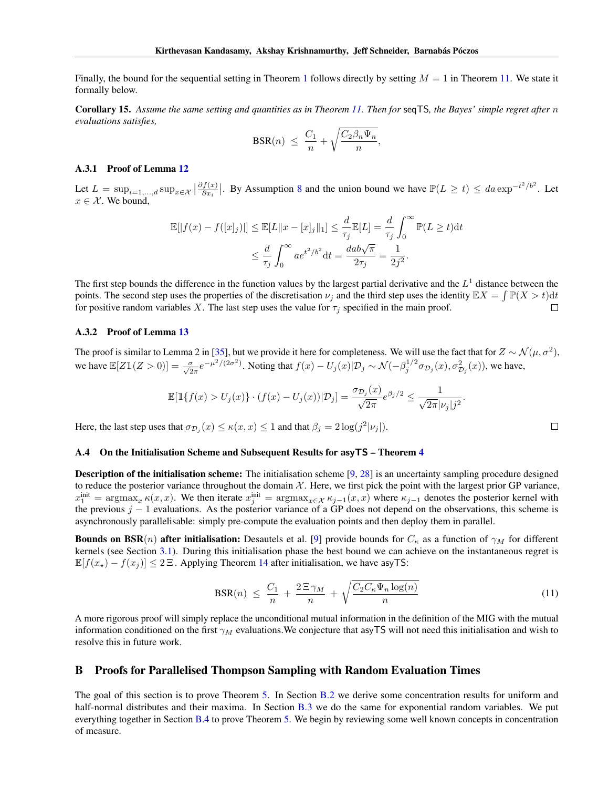Finally, the bound for the sequential setting in Theorem [1](#page-4-2) follows directly by setting  $M = 1$  in Theorem [11.](#page-11-1) We state it formally below.

Corollary 15. *Assume the same setting and quantities as in Theorem [11.](#page-11-1) Then for* seqTS*, the Bayes' simple regret after* n *evaluations satisfies,*

$$
BSR(n) \ \leq \ \frac{C_1}{n} + \sqrt{\frac{C_2 \beta_n \Psi_n}{n}},
$$

### <span id="page-14-2"></span>A.3.1 Proof of Lemma [12](#page-12-0)

Let  $L = \sup_{i=1,\dots,d} \sup_{x \in \mathcal{X}} \left| \frac{\partial f(x)}{\partial x_i} \right|$  $\frac{df(x)}{\partial x_i}$ . By Assumption [8](#page-10-2) and the union bound we have  $\mathbb{P}(L \ge t) \le da \exp^{-t^2/b^2}$ . Let  $x \in \mathcal{X}$ . We bound,

$$
\mathbb{E}[|f(x) - f([x]_j)|] \le \mathbb{E}[L||x - [x]_j||_1] \le \frac{d}{\tau_j} \mathbb{E}[L] = \frac{d}{\tau_j} \int_0^\infty \mathbb{P}(L \ge t) dt
$$
  

$$
\le \frac{d}{\tau_j} \int_0^\infty a e^{t^2/b^2} dt = \frac{dab\sqrt{\pi}}{2\tau_j} = \frac{1}{2j^2}.
$$

The first step bounds the difference in the function values by the largest partial derivative and the  $L^1$  distance between the points. The second step uses the properties of the discretisation  $\nu_j$  and the third step uses the identity  $\mathbb{E}X = \int \mathbb{P}(X > t) dt$ for positive random variables X. The last step uses the value for  $\tau_i$  specified in the main proof.  $\Box$ 

#### <span id="page-14-3"></span>A.3.2 Proof of Lemma [13](#page-12-1)

The proof is similar to Lemma 2 in [\[35\]](#page-9-5), but we provide it here for completeness. We will use the fact that for  $Z \sim \mathcal{N}(\mu, \sigma^2)$ , we have  $\mathbb{E}[Z\mathbb{1}(Z>0)] = \frac{\sigma}{\sqrt{2\pi}}e^{-\mu^2/(2\sigma^2)}$ . Noting that  $f(x) - U_j(x)|\mathcal{D}_j \sim \mathcal{N}(-\beta_j^{1/2}\sigma_{\mathcal{D}_j}(x), \sigma_{\mathcal{D}_j}^2(x))$ , we have,

$$
\mathbb{E}[\mathbb{1}\{f(x) > U_j(x)\} \cdot (f(x) - U_j(x)) | \mathcal{D}_j] = \frac{\sigma_{\mathcal{D}_j}(x)}{\sqrt{2\pi}} e^{\beta_j/2} \le \frac{1}{\sqrt{2\pi} |\nu_j| j^2}.
$$

Here, the last step uses that  $\sigma_{\mathcal{D}_j}(x) \leq \kappa(x, x) \leq 1$  and that  $\beta_j = 2 \log(j^2 |\nu_j|)$ .

#### <span id="page-14-1"></span>A.4 On the Initialisation Scheme and Subsequent Results for **asyTS** – Theorem [4](#page-4-3)

**Description of the initialisation scheme:** The initialisation scheme [\[9,](#page-8-8) [28\]](#page-8-17) is an uncertainty sampling procedure designed to reduce the posterior variance throughout the domain  $X$ . Here, we first pick the point with the largest prior GP variance,  $x_1^{\text{init}} = \text{argmax}_x \kappa(x, x)$ . We then iterate  $x_j^{\text{init}} = \text{argmax}_{x \in \mathcal{X}} \kappa_{j-1}(x, x)$  where  $\kappa_{j-1}$  denotes the posterior kernel with the previous  $j - 1$  evaluations. As the posterior variance of a GP does not depend on the observations, this scheme is asynchronously parallelisable: simply pre-compute the evaluation points and then deploy them in parallel.

**Bounds on BSR**(n) after initialisation: Desautels et al. [\[9\]](#page-8-8) provide bounds for  $C_{\kappa}$  as a function of  $\gamma_M$  for different kernels (see Section [3.1\)](#page-3-8). During this initialisation phase the best bound we can achieve on the instantaneous regret is  $\mathbb{E}[f(x_{\star}) - f(x_j)] \leq 2\Xi$ . Applying Theorem [14](#page-13-0) after initialisation, we have asyTS:

$$
\text{BSR}(n) \ \leq \ \frac{C_1}{n} \ + \ \frac{2 \Xi \, \gamma_M}{n} \ + \ \sqrt{\frac{C_2 C_\kappa \Psi_n \log(n)}{n}} \tag{11}
$$

 $\Box$ 

A more rigorous proof will simply replace the unconditional mutual information in the definition of the MIG with the mutual information conditioned on the first  $\gamma_M$  evaluations. We conjecture that asyTS will not need this initialisation and wish to resolve this in future work.

### <span id="page-14-0"></span>B Proofs for Parallelised Thompson Sampling with Random Evaluation Times

The goal of this section is to prove Theorem [5.](#page-4-0) In Section [B.2](#page-15-0) we derive some concentration results for uniform and half-normal distributes and their maxima. In Section [B.3](#page-17-0) we do the same for exponential random variables. We put everything together in Section [B.4](#page-20-0) to prove Theorem [5.](#page-4-0) We begin by reviewing some well known concepts in concentration of measure.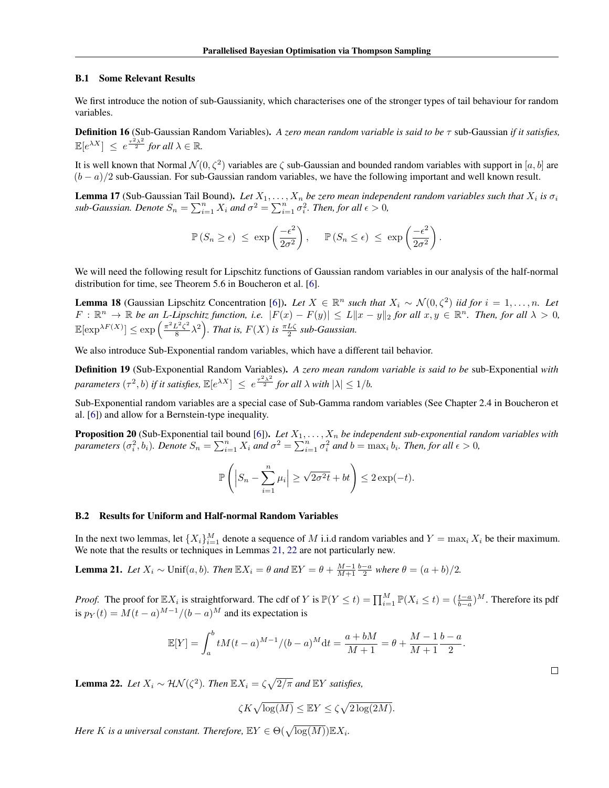#### B.1 Some Relevant Results

We first introduce the notion of sub-Gaussianity, which characterises one of the stronger types of tail behaviour for random variables.

Definition 16 (Sub-Gaussian Random Variables). *A zero mean random variable is said to be* τ sub-Gaussian *if it satisfies,*  $\mathbb{E}[e^{\lambda X}] \leq e^{\frac{\tau^2 \lambda^2}{2}}$  for all  $\lambda \in \mathbb{R}$ .

It is well known that Normal  $\mathcal{N}(0,\zeta^2)$  variables are  $\zeta$  sub-Gaussian and bounded random variables with support in  $[a,b]$  are  $(b - a)/2$  sub-Gaussian. For sub-Gaussian random variables, we have the following important and well known result.

<span id="page-15-3"></span>**Lemma 17** (Sub-Gaussian Tail Bound). Let  $X_1, \ldots, X_n$  be zero mean independent random variables such that  $X_i$  is  $\sigma_i$ *sub-Gaussian. Denote*  $S_n = \sum_{i=1}^n X_i$  *and*  $\sigma^2 = \sum_{i=1}^n \sigma_i^2$ . *Then, for all*  $\epsilon > 0$ ,

$$
\mathbb{P}(S_n \geq \epsilon) \leq \exp\left(\frac{-\epsilon^2}{2\sigma^2}\right), \quad \mathbb{P}(S_n \leq \epsilon) \leq \exp\left(\frac{-\epsilon^2}{2\sigma^2}\right).
$$

We will need the following result for Lipschitz functions of Gaussian random variables in our analysis of the half-normal distribution for time, see Theorem 5.6 in Boucheron et al. [\[6\]](#page-8-19).

<span id="page-15-4"></span>**Lemma 18** (Gaussian Lipschitz Concentration [\[6\]](#page-8-19)). Let  $X \in \mathbb{R}^n$  such that  $X_i \sim \mathcal{N}(0, \zeta^2)$  *iid for*  $i = 1, \ldots, n$ . Let  $F: \mathbb{R}^n \to \mathbb{R}$  be an L-Lipschitz function, i.e.  $|F(x) - F(y)| \le L \|x - y\|_2$  for all  $x, y \in \mathbb{R}^n$ . Then, for all  $\lambda > 0$ ,  $\mathbb{E}[\exp^{\lambda F(X)}] \leq \exp\left(\frac{\pi^2 L^2 \zeta^2}{8}\right)$  $\frac{L^2\zeta^2}{8}\lambda^2$ . *That is,*  $F(X)$  *is*  $\frac{\pi L\zeta}{2}$  *sub-Gaussian.* 

We also introduce Sub-Exponential random variables, which have a different tail behavior.

<span id="page-15-5"></span>Definition 19 (Sub-Exponential Random Variables). *A zero mean random variable is said to be* sub-Exponential *with parameters*  $(\tau^2, b)$  *if it satisfies,*  $\mathbb{E}[e^{\lambda X}] \le e^{\frac{\tau^2 \lambda^2}{2}}$  *for all*  $\lambda$  *with*  $|\lambda| \le 1/b$ *.* 

Sub-Exponential random variables are a special case of Sub-Gamma random variables (See Chapter 2.4 in Boucheron et al. [\[6\]](#page-8-19)) and allow for a Bernstein-type inequality.

<span id="page-15-6"></span>**Proposition 20** (Sub-Exponential tail bound [\[6\]](#page-8-19)). Let  $X_1, \ldots, X_n$  be independent sub-exponential random variables with *parameters*  $(\sigma_i^2, b_i)$ *. Denote*  $S_n = \sum_{i=1}^n X_i$  *and*  $\sigma^2 = \sum_{i=1}^n \sigma_i^2$  *and*  $b = \max_i b_i$ *. Then, for all*  $\epsilon > 0$ *,* 

$$
\mathbb{P}\left(\left|S_n - \sum_{i=1}^n \mu_i\right| \ge \sqrt{2\sigma^2 t} + bt\right) \le 2\exp(-t).
$$

#### <span id="page-15-0"></span>B.2 Results for Uniform and Half-normal Random Variables

In the next two lemmas, let  $\{X_i\}_{i=1}^M$  denote a sequence of M i.i.d random variables and  $Y = \max_i X_i$  be their maximum. We note that the results or techniques in Lemmas [21,](#page-15-1) [22](#page-15-2) are not particularly new.

<span id="page-15-1"></span>**Lemma 21.** *Let*  $X_i \sim \text{Unif}(a, b)$ *. Then*  $\mathbb{E}X_i = \theta$  *and*  $\mathbb{E}Y = \theta + \frac{M-1}{M+1} \frac{b-a}{2}$  *where*  $\theta = (a+b)/2$ *.* 

*Proof.* The proof for  $\mathbb{E}X_i$  is straightforward. The cdf of Y is  $\mathbb{P}(Y \le t) = \prod_{i=1}^M \mathbb{P}(X_i \le t) = (\frac{t-a}{b-a})^M$ . Therefore its pdf is  $p_Y(t) = M(t-a)^{M-1}/(b-a)^M$  and its expectation is

$$
\mathbb{E}[Y] = \int_{a}^{b} t M(t-a)^{M-1} / (b-a)^{M} dt = \frac{a+bM}{M+1} = \theta + \frac{M-1}{M+1} \frac{b-a}{2}.
$$

<span id="page-15-2"></span>**Lemma 22.** *Let*  $X_i \sim \mathcal{HN}(\zeta^2)$ . *Then*  $\mathbb{E}X_i = \zeta \sqrt{2/\pi}$  and  $\mathbb{E}Y$  *satisfies,* 

$$
\zeta K \sqrt{\log(M)} \leq \mathbb{E} Y \leq \zeta \sqrt{2 \log(2M)}.
$$

*Here* K is a universal constant. Therefore,  $\mathbb{E}Y \in \Theta(\sqrt{\log(M)}) \mathbb{E}X_i$ .

 $\Box$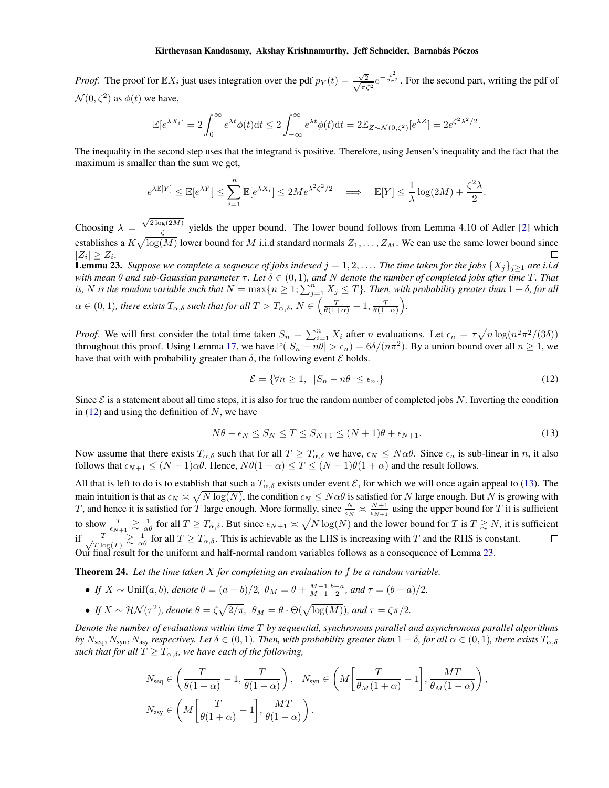*Proof.* The proof for  $\mathbb{E}X_i$  just uses integration over the pdf  $p_Y(t) = \frac{\sqrt{2}}{\sqrt{2}}$  $\frac{\sqrt{2}}{\pi\zeta^2}e^{-\frac{t^2}{2\sigma^2}}$ . For the second part, writing the pdf of  $\mathcal{N}(0, \zeta^2)$  as  $\phi(t)$  we have,

$$
\mathbb{E}[e^{\lambda X_i}] = 2\int_0^\infty e^{\lambda t} \phi(t) dt \le 2 \int_{-\infty}^\infty e^{\lambda t} \phi(t) dt = 2 \mathbb{E}_{Z \sim \mathcal{N}(0,\zeta^2)}[e^{\lambda Z}] = 2e^{\zeta^2 \lambda^2/2}.
$$

The inequality in the second step uses that the integrand is positive. Therefore, using Jensen's inequality and the fact that the maximum is smaller than the sum we get,

$$
e^{\lambda \mathbb{E}[Y]} \leq \mathbb{E}[e^{\lambda Y}] \leq \sum_{i=1}^{n} \mathbb{E}[e^{\lambda X_i}] \leq 2Me^{\lambda^2 \zeta^2/2} \implies \mathbb{E}[Y] \leq \frac{1}{\lambda} \log(2M) + \frac{\zeta^2 \lambda}{2}.
$$

 $\sqrt{2\log(2M)}$ Choosing  $\lambda =$  $\frac{\zeta^{(2M)}}{\zeta}$  yields the upper bound. The lower bound follows from Lemma 4.10 of Adler [\[2\]](#page-7-4) which establishes a  $K\sqrt{\log(M)}$  lower bound for M i.i.d standard normals  $Z_1,\ldots,Z_M.$  We can use the same lower bound since  $|Z_i|\geq Z_i.$ П

<span id="page-16-0"></span>**Lemma 23.** *Suppose we complete a sequence of jobs indexed*  $j = 1, 2, \ldots$  *. The time taken for the jobs*  $\{X_j\}_{j\geq 1}$  *are i.i.d with mean*  $\theta$  *and sub-Gaussian parameter*  $\tau$ *. Let*  $\delta \in (0,1)$ *, and* N *denote the number of completed jobs after time* T*. That* is, N is the random variable such that  $N = \max\{n \geq 1; \sum_{j=1}^n X_j \leq T\}$ . Then, with probability greater than  $1-\delta$ , for all  $\alpha \in (0,1)$ , there exists  $T_{\alpha,\delta}$  such that for all  $T > T_{\alpha,\delta}$ ,  $N \in \left(\frac{T}{\theta(1+\alpha)} - 1, \frac{T}{\theta(1-\alpha)}\right)$ .

*Proof.* We will first consider the total time taken  $S_n = \sum_{i=1}^n X_i$  after n evaluations. Let  $\epsilon_n = \tau \sqrt{n \log(n^2 \pi^2/(3\delta))}$ throughout this proof. Using Lemma [17,](#page-15-3) we have  $\mathbb{P}(|S_n - n\theta| > \epsilon_n) = 6\delta/(n\pi^2)$ . By a union bound over all  $n \ge 1$ , we have that with with probability greater than  $\delta$ , the following event  $\mathcal E$  holds.

$$
\mathcal{E} = \{ \forall n \ge 1, \ |S_n - n\theta| \le \epsilon_n. \}
$$
\n(12)

Since  $\mathcal E$  is a statement about all time steps, it is also for true the random number of completed jobs N. Inverting the condition in  $(12)$  and using the definition of N, we have

$$
N\theta - \epsilon_N \le S_N \le T \le S_{N+1} \le (N+1)\theta + \epsilon_{N+1}.
$$
\n(13)

Now assume that there exists  $T_{\alpha,\delta}$  such that for all  $T \geq T_{\alpha,\delta}$  we have,  $\epsilon_N \leq N \alpha \theta$ . Since  $\epsilon_n$  is sub-linear in n, it also follows that  $\epsilon_{N+1} \leq (N+1)\alpha\theta$ . Hence,  $N\theta(1-\alpha) \leq T \leq (N+1)\theta(1+\alpha)$  and the result follows.

All that is left to do is to establish that such a  $T_{\alpha,\delta}$  exists under event  $\mathcal E$ , for which we will once again appeal to [\(13\)](#page-16-0). The main intuition is that as  $\epsilon_N \asymp \sqrt{N \log(N)}$ , the condition  $\epsilon_N \le N\alpha\theta$  is satisfied for  $N$  large enough. But  $N$  is growing with T, and hence it is satisfied for T large enough. More formally, since  $\frac{N}{\epsilon_N} \ge \frac{N+1}{\epsilon_{N+1}}$  using the upper bound for T it is sufficient to show  $\frac{T}{\epsilon_{N+1}} \gtrsim \frac{1}{\alpha \theta}$  for all  $T \geq T_{\alpha,\delta}$ . But since  $\epsilon_{N+1} \asymp \sqrt{N \log(N)}$  and the lower bound for T is  $T \gtrsim N$ , it is sufficient if  $\frac{1}{\sqrt{n}}$  $\frac{T}{T \log(T)} \gtrsim \frac{1}{\alpha \theta}$  for all  $T \geq T_{\alpha,\delta}$ . This is achievable as the LHS is increasing with T and the RHS is constant.  $\Box$ Our final result for the uniform and half-normal random variables follows as a consequence of Lemma [23.](#page-16-0)

<span id="page-16-1"></span>Theorem 24. *Let the time taken* X *for completing an evaluation to* f *be a random variable.*

• *If*  $X \sim \text{Unif}(a, b)$ *, denote*  $\theta = (a + b)/2$ *,*  $\theta_M = \theta + \frac{M-1}{M+1} \frac{b-a}{2}$ *, and*  $\tau = (b - a)/2$ *.* **•** If  $X \sim \mathcal{HN}(\tau^2)$ , denote  $\theta = \zeta \sqrt{2/\pi}$ ,  $\theta_M = \theta \cdot \Theta(\sqrt{\log(M)})$ , and  $\tau = \zeta \pi/2$ .

*Denote the number of evaluations within time* T *by sequential, synchronous parallel and asynchronous parallel algorithms by*  $N_{\text{seq}}$ ,  $N_{\text{syn}}$ ,  $N_{\text{asy}}$  *respectivey. Let*  $\delta \in (0,1)$ *. Then, with probability greater than*  $1-\delta$ *, for all*  $\alpha \in (0,1)$ *, there exists*  $T_{\alpha,\delta}$ *such that for all*  $T \geq T_{\alpha,\delta}$ *, we have each of the following,* 

$$
\begin{aligned} &N_{\text{seq}} \in \left(\frac{T}{\theta(1+\alpha)}-1,\frac{T}{\theta(1-\alpha)}\right), \quad N_{\text{syn}} \in \left(M\left[\frac{T}{\theta_M(1+\alpha)}-1\right],\frac{MT}{\theta_M(1-\alpha)}\right),\\ &N_{\text{asy}} \in \left(M\left[\frac{T}{\theta(1+\alpha)}-1\right],\frac{MT}{\theta(1-\alpha)}\right). \end{aligned}
$$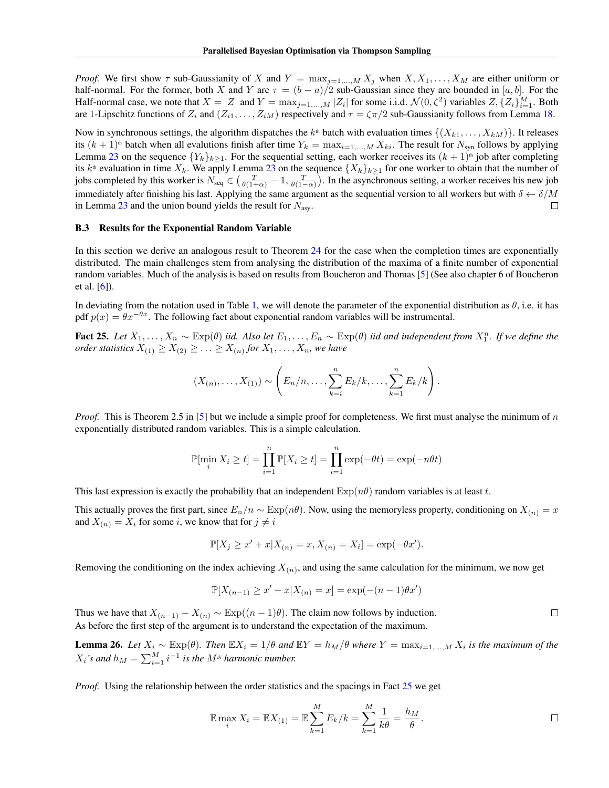*Proof.* We first show  $\tau$  sub-Gaussianity of X and  $Y = \max_{j=1,\dots,M} X_j$  when  $X, X_1, \dots, X_M$  are either uniform or half-normal. For the former, both X and Y are  $\tau = (b - a)/2$  sub-Gaussian since they are bounded in [a, b]. For the Half-normal case, we note that  $X = |Z|$  and  $Y = \max_{j=1,...,M} |Z_i|$  for some i.i.d.  $\mathcal{N}(0, \zeta^2)$  variables  $Z, \{Z_i\}_{i=1}^M$ . Both are 1-Lipschitz functions of  $Z_i$  and  $(Z_{i1},..., Z_{iM})$  respectively and  $\tau = \zeta \pi/2$  sub-Gaussianity follows from Lemma [18.](#page-15-4)

Now in synchronous settings, the algorithm dispatches the  $k^{\text{th}}$  batch with evaluation times  $\{(X_{k1},...,X_{kM})\}$ . It releases its  $(k + 1)^{th}$  batch when all evalutions finish after time  $Y_k = \max_{i=1,...,M} X_{ki}$ . The result for  $N_{syn}$  follows by applying Lemma [23](#page-16-0) on the sequence  ${Y_k}_{k>1}$ . For the sequential setting, each worker receives its  $(k + 1)$ <sup>th</sup> job after completing its  $k^{\text{th}}$  evaluation in time  $X_k$ . We apply Lemma [23](#page-16-0) on the sequence  $\{X_k\}_{k\geq 1}$  for one worker to obtain that the number of jobs completed by this worker is  $N_{seq} \in \left(\frac{T}{\theta(1+\alpha)}-1,\frac{T}{\theta(1-\alpha)}\right)$ . In the asynchronous setting, a worker receives his new job immediately after finishing his last. Applying the same argument as the sequential version to all workers but with  $\delta \leftarrow \delta/M$ in Lemma [23](#page-16-0) and the union bound yields the result for  $N_{\rm asy}$ .  $\Box$ 

#### <span id="page-17-0"></span>B.3 Results for the Exponential Random Variable

In this section we derive an analogous result to Theorem [24](#page-16-1) for the case when the completion times are exponentially distributed. The main challenges stem from analysing the distribution of the maxima of a finite number of exponential random variables. Much of the analysis is based on results from Boucheron and Thomas [\[5\]](#page-8-23) (See also chapter 6 of Boucheron et al. [\[6\]](#page-8-19)).

In deviating from the notation used in Table [1,](#page-5-1) we will denote the parameter of the exponential distribution as  $\theta$ , i.e. it has pdf  $p(x) = \theta x^{-\theta x}$ . The following fact about exponential random variables will be instrumental.

<span id="page-17-1"></span>Fact 25. Let  $X_1, \ldots, X_n \sim \text{Exp}(\theta)$  iid. Also let  $E_1, \ldots, E_n \sim \text{Exp}(\theta)$  iid and independent from  $X_1^n$ . If we define the *order statistics*  $X_{(1)} \geq X_{(2)} \geq \ldots \geq X_{(n)}$  for  $X_1, \ldots, X_n$ , we have

$$
(X_{(n)},...,X_{(1)}) \sim \left(E_n/n,...,\sum_{k=i}^n E_k/k,...,\sum_{k=1}^n E_k/k\right).
$$

*Proof.* This is Theorem 2.5 in [\[5\]](#page-8-23) but we include a simple proof for completeness. We first must analyse the minimum of n exponentially distributed random variables. This is a simple calculation.

$$
\mathbb{P}[\min_i X_i \ge t] = \prod_{i=1}^n \mathbb{P}[X_i \ge t] = \prod_{i=1}^n \exp(-\theta t) = \exp(-n\theta t)
$$

This last expression is exactly the probability that an independent  $\exp(n\theta)$  random variables is at least t.

This actually proves the first part, since  $E_n/n \sim \text{Exp}(n\theta)$ . Now, using the memoryless property, conditioning on  $X_{(n)} = x$ and  $X_{(n)} = X_i$  for some *i*, we know that for  $j \neq i$ 

$$
\mathbb{P}[X_j \ge x' + x | X_{(n)} = x, X_{(n)} = X_i] = \exp(-\theta x').
$$

Removing the conditioning on the index achieving  $X_{(n)}$ , and using the same calculation for the minimum, we now get

$$
\mathbb{P}[X_{(n-1)} \ge x' + x | X_{(n)} = x] = \exp(-(n-1)\theta x')
$$

 $\Box$ Thus we have that  $X_{(n-1)} - X_{(n)} \sim \text{Exp}((n-1)\theta)$ . The claim now follows by induction. As before the first step of the argument is to understand the expectation of the maximum.

<span id="page-17-2"></span>**Lemma 26.** Let  $X_i \sim \text{Exp}(\theta)$ . Then  $\mathbb{E}[X_i] = 1/\theta$  and  $\mathbb{E}[Y_i] = h_M/\theta$  where  $Y = \max_{i=1,...,M} X_i$  is the maximum of the  $X_i$ 's and  $h_M = \sum_{i=1}^M i^{-1}$  is the  $M^{\text{th}}$  harmonic number.

*Proof.* Using the relationship between the order statistics and the spacings in Fact [25](#page-17-1) we get

$$
\mathbb{E} \max_i X_i = \mathbb{E} X_{(1)} = \mathbb{E} \sum_{k=1}^M E_k / k = \sum_{k=1}^M \frac{1}{k\theta} = \frac{h_M}{\theta}.
$$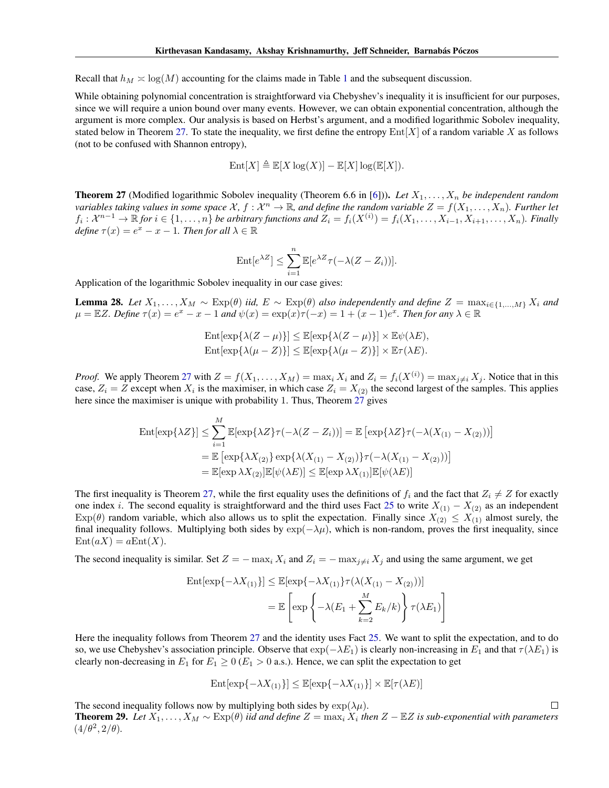Recall that  $h_M \ge \log(M)$  accounting for the claims made in Table [1](#page-5-1) and the subsequent discussion.

While obtaining polynomial concentration is straightforward via Chebyshev's inequality it is insufficient for our purposes, since we will require a union bound over many events. However, we can obtain exponential concentration, although the argument is more complex. Our analysis is based on Herbst's argument, and a modified logarithmic Sobolev inequality, stated below in Theorem [27.](#page-18-0) To state the inequality, we first define the entropy  $\text{Ent}[X]$  of a random variable X as follows (not to be confused with Shannon entropy),

$$
Ent[X] \triangleq \mathbb{E}[X \log(X)] - \mathbb{E}[X] \log(\mathbb{E}[X]).
$$

<span id="page-18-0"></span>**Theorem 27** (Modified logarithmic Sobolev inequality (Theorem 6.6 in [\[6\]](#page-8-19))). Let  $X_1, \ldots, X_n$  be independent random variables taking values in some space  $X$ ,  $f: X^n \to \mathbb{R}$ , and define the random variable  $Z = f(X_1,\ldots,X_n)$ . Further let  $f_i: \mathcal{X}^{n-1} \to \mathbb{R}$  for  $i \in \{1, \ldots, n\}$  be arbitrary functions and  $Z_i = f_i(X^{(i)}) = f_i(X_1, \ldots, X_{i-1}, X_{i+1}, \ldots, X_n)$ . Finally *define*  $\tau(x) = e^x - x - 1$ *. Then for all*  $\lambda \in \mathbb{R}$ 

$$
\mathrm{Ent}[e^{\lambda Z}] \le \sum_{i=1}^n \mathbb{E}[e^{\lambda Z} \tau(-\lambda (Z - Z_i))].
$$

Application of the logarithmic Sobolev inequality in our case gives:

**Lemma 28.** *Let*  $X_1, \ldots, X_M$  ∼  $Exp(θ)$  *iid,*  $E$  ∼  $Exp(θ)$  *also independently and define*  $Z = max_{i \in \{1, \ldots, M\}} X_i$  *and*  $\mu = \mathbb{E}Z$ . Define  $\tau(x) = e^x - x - 1$  and  $\psi(x) = \exp(x)\tau(-x) = 1 + (x - 1)e^x$ . Then for any  $\lambda \in \mathbb{R}$ 

$$
\operatorname{Ent}[\exp\{\lambda(Z-\mu)\}] \leq \mathbb{E}[\exp\{\lambda(Z-\mu)\}] \times \mathbb{E}\psi(\lambda E),
$$
  
\n
$$
\operatorname{Ent}[\exp\{\lambda(\mu-Z)\}] \leq \mathbb{E}[\exp\{\lambda(\mu-Z)\}] \times \mathbb{E}\tau(\lambda E).
$$

*Proof.* We apply Theorem [27](#page-18-0) with  $Z = f(X_1, ..., X_M) = \max_i X_i$  and  $Z_i = f_i(X^{(i)}) = \max_{j \neq i} X_j$ . Notice that in this case,  $Z_i = Z$  except when  $X_i$  is the maximiser, in which case  $Z_i = X_{(2)}$  the second largest of the samples. This applies here since the maximiser is unique with probability 1. Thus, Theorem [27](#page-18-0) gives

$$
\operatorname{Ent}[\exp\{\lambda Z\}] \leq \sum_{i=1}^{M} \mathbb{E}[\exp\{\lambda Z\}\tau(-\lambda(Z - Z_i))] = \mathbb{E}\left[\exp\{\lambda Z\}\tau(-\lambda(X_{(1)} - X_{(2)}))\right]
$$
  
\n
$$
= \mathbb{E}\left[\exp\{\lambda X_{(2)}\}\exp\{\lambda(X_{(1)} - X_{(2)})\}\tau(-\lambda(X_{(1)} - X_{(2)}))\right]
$$
  
\n
$$
= \mathbb{E}[\exp\lambda X_{(2)}]\mathbb{E}[\psi(\lambda E)] \leq \mathbb{E}[\exp\lambda X_{(1)}]\mathbb{E}[\psi(\lambda E)]
$$

The first inequality is Theorem [27,](#page-18-0) while the first equality uses the definitions of  $f_i$  and the fact that  $Z_i \neq Z$  for exactly one index i. The second equality is straightforward and the third uses Fact [25](#page-17-1) to write  $X_{(1)} - X_{(2)}$  as an independent  $Exp(\theta)$  random variable, which also allows us to split the expectation. Finally since  $X_{(2)} \leq X_{(1)}$  almost surely, the final inequality follows. Multiplying both sides by  $\exp(-\lambda\mu)$ , which is non-random, proves the first inequality, since  $Ent(aX) = aEnt(X).$ 

The second inequality is similar. Set  $Z = -\max_i X_i$  and  $Z_i = -\max_{i \neq i} X_j$  and using the same argument, we get

$$
\operatorname{Ent}[\exp\{-\lambda X_{(1)}\}] \leq \mathbb{E}[\exp\{-\lambda X_{(1)}\}\tau(\lambda(X_{(1)} - X_{(2)}))]
$$

$$
= \mathbb{E}\left[\exp\left\{-\lambda(E_1 + \sum_{k=2}^M E_k/k)\right\}\tau(\lambda E_1)\right]
$$

Here the inequality follows from Theorem [27](#page-18-0) and the identity uses Fact [25.](#page-17-1) We want to split the expectation, and to do so, we use Chebyshev's association principle. Observe that  $\exp(-\lambda E_1)$  is clearly non-increasing in  $E_1$  and that  $\tau(\lambda E_1)$  is clearly non-decreasing in  $E_1$  for  $E_1 \ge 0$  ( $E_1 > 0$  a.s.). Hence, we can split the expectation to get

$$
Ent[exp{-\lambda X_{(1)}}] \leq \mathbb{E}[exp{-\lambda X_{(1)}}] \times \mathbb{E}[\tau(\lambda E)]
$$

The second inequality follows now by multiplying both sides by  $\exp(\lambda \mu)$ .

Theorem 29. Let  $X_1, \ldots, X_M$  ∼  $Exp(\theta)$  *iid and define*  $Z = max_i X_i$  *then*  $Z - \mathbb{E}Z$  *is sub-exponential with parameters*  $(4/\theta^2, 2/\theta)$ .

 $\Box$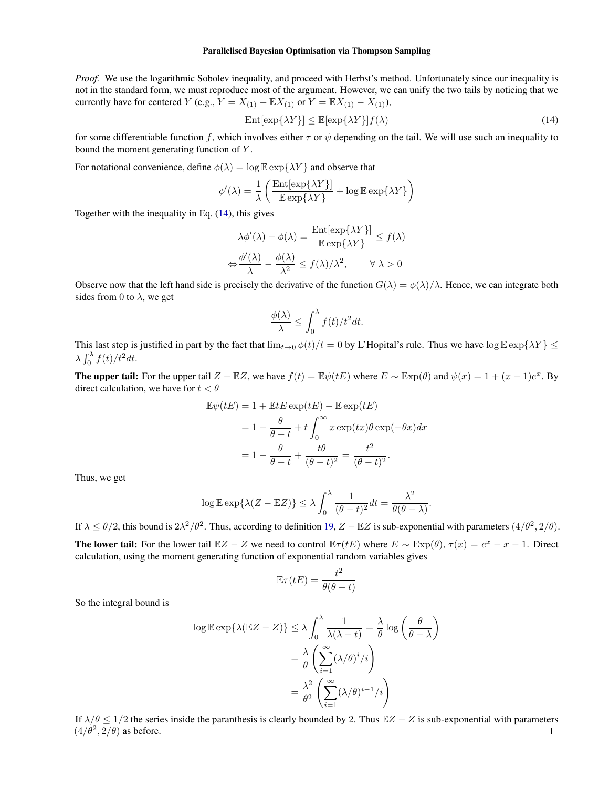*Proof.* We use the logarithmic Sobolev inequality, and proceed with Herbst's method. Unfortunately since our inequality is not in the standard form, we must reproduce most of the argument. However, we can unify the two tails by noticing that we currently have for centered Y (e.g.,  $Y = X_{(1)} - \mathbb{E}X_{(1)}$  or  $Y = \mathbb{E}X_{(1)} - X_{(1)}$ ),

<span id="page-19-0"></span>
$$
Ent[\exp\{\lambda Y\}] \le \mathbb{E}[\exp\{\lambda Y\}] f(\lambda)
$$
\n(14)

for some differentiable function f, which involves either  $\tau$  or  $\psi$  depending on the tail. We will use such an inequality to bound the moment generating function of Y.

For notational convenience, define  $\phi(\lambda) = \log \mathbb{E} \exp{\{\lambda Y\}}$  and observe that

$$
\phi'(\lambda) = \frac{1}{\lambda} \left( \frac{\text{Ent}[\exp\{\lambda Y\}]}{\mathbb{E} \exp\{\lambda Y\}} + \log \mathbb{E} \exp\{\lambda Y\} \right)
$$

Together with the inequality in Eq. [\(14\)](#page-19-0), this gives

$$
\lambda \phi'(\lambda) - \phi(\lambda) = \frac{\text{Ent}[\exp\{\lambda Y\}]}{\mathbb{E} \exp\{\lambda Y\}} \le f(\lambda)
$$

$$
\Leftrightarrow \frac{\phi'(\lambda)}{\lambda} - \frac{\phi(\lambda)}{\lambda^2} \le f(\lambda)/\lambda^2, \qquad \forall \lambda > 0
$$

Observe now that the left hand side is precisely the derivative of the function  $G(\lambda) = \phi(\lambda)/\lambda$ . Hence, we can integrate both sides from 0 to  $\lambda$ , we get

$$
\frac{\phi(\lambda)}{\lambda} \le \int_0^\lambda f(t)/t^2 dt.
$$

This last step is justified in part by the fact that  $\lim_{t\to 0} \phi(t)/t = 0$  by L'Hopital's rule. Thus we have  $\log \mathbb{E} \exp{\{\lambda Y\}} \le$  $\lambda \int_0^{\lambda} f(t) / t^2 dt$ .

The upper tail: For the upper tail  $Z - \mathbb{E}Z$ , we have  $f(t) = \mathbb{E}\psi(tE)$  where  $E \sim \text{Exp}(\theta)$  and  $\psi(x) = 1 + (x - 1)e^x$ . By direct calculation, we have for  $t < \theta$ 

$$
\mathbb{E}\psi(tE) = 1 + \mathbb{E}tE \exp(tE) - \mathbb{E}\exp(tE)
$$

$$
= 1 - \frac{\theta}{\theta - t} + t\int_0^\infty x \exp(tx)\theta \exp(-\theta x)dx
$$

$$
= 1 - \frac{\theta}{\theta - t} + \frac{t\theta}{(\theta - t)^2} = \frac{t^2}{(\theta - t)^2}.
$$

Thus, we get

$$
\log \mathbb{E} \exp \{ \lambda (Z - \mathbb{E} Z) \} \le \lambda \int_0^{\lambda} \frac{1}{(\theta - t)^2} dt = \frac{\lambda^2}{\theta(\theta - \lambda)}.
$$

If  $\lambda \le \theta/2$ , this bound is  $2\lambda^2/\theta^2$ . Thus, according to definition [19,](#page-15-5)  $Z - \mathbb{E}Z$  is sub-exponential with parameters  $(4/\theta^2, 2/\theta)$ .

**The lower tail:** For the lower tail  $\mathbb{E}Z - Z$  we need to control  $\mathbb{E}\tau(tE)$  where  $E \sim \text{Exp}(\theta)$ ,  $\tau(x) = e^x - x - 1$ . Direct calculation, using the moment generating function of exponential random variables gives

$$
\mathbb{E}\tau(tE) = \frac{t^2}{\theta(\theta - t)}
$$

So the integral bound is

$$
\log \mathbb{E} \exp \{ \lambda (\mathbb{E} Z - Z) \} \le \lambda \int_0^{\lambda} \frac{1}{\lambda (\lambda - t)} = \frac{\lambda}{\theta} \log \left( \frac{\theta}{\theta - \lambda} \right)
$$

$$
= \frac{\lambda}{\theta} \left( \sum_{i=1}^{\infty} (\lambda/\theta)^i / i \right)
$$

$$
= \frac{\lambda^2}{\theta^2} \left( \sum_{i=1}^{\infty} (\lambda/\theta)^{i-1} / i \right)
$$

If  $\lambda/\theta \le 1/2$  the series inside the paranthesis is clearly bounded by 2. Thus  $\mathbb{E}Z - Z$  is sub-exponential with parameters  $(4/\theta^2, 2/\theta)$  as before.  $\Box$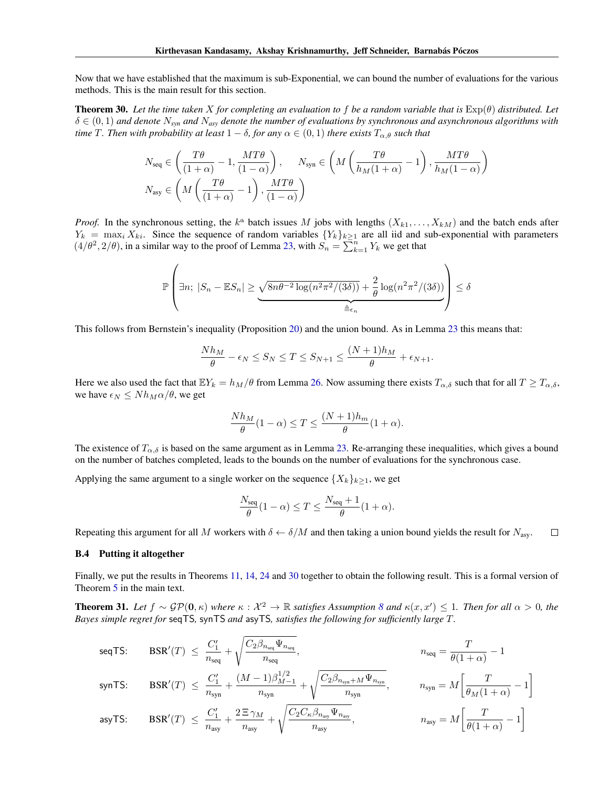Now that we have established that the maximum is sub-Exponential, we can bound the number of evaluations for the various methods. This is the main result for this section.

<span id="page-20-1"></span>Theorem 30. *Let the time taken* X *for completing an evaluation to* f *be a random variable that is* Exp(θ) *distributed. Let*  $\delta \in (0,1)$  and denote  $N_{syn}$  and  $N_{asy}$  denote the number of evaluations by synchronous and asynchronous algorithms with *time* T. Then with probability at least  $1 - \delta$ , for any  $\alpha \in (0,1)$  *there exists*  $T_{\alpha,\theta}$  *such that* 

$$
N_{\text{seq}} \in \left(\frac{T\theta}{(1+\alpha)} - 1, \frac{MT\theta}{(1-\alpha)}\right), \quad N_{\text{syn}} \in \left(M\left(\frac{T\theta}{h_M(1+\alpha)} - 1\right), \frac{MT\theta}{h_M(1-\alpha)}\right)
$$

$$
N_{\text{asy}} \in \left(M\left(\frac{T\theta}{(1+\alpha)} - 1\right), \frac{MT\theta}{(1-\alpha)}\right)
$$

*Proof.* In the synchronous setting, the  $k^{\text{th}}$  batch issues M jobs with lengths  $(X_{k1},...,X_{kM})$  and the batch ends after  $Y_k = \max_i X_{ki}$ . Since the sequence of random variables  $\{Y_k\}_{k\geq 1}$  are all iid and sub-exponential with parameters  $(4/\theta^2, 2/\theta)$ , in a similar way to the proof of Lemma [23,](#page-16-0) with  $S_n = \sum_{k=1}^n Y_k$  we get that

$$
\mathbb{P}\left(\exists n;\ |S_n - \mathbb{E}S_n| \ge \underbrace{\sqrt{8n\theta^{-2}\log(n^2\pi^2/(3\delta))}}_{\triangleq \epsilon_n} + \frac{2}{\theta}\log(n^2\pi^2/(3\delta))\right) \le \delta
$$

This follows from Bernstein's inequality (Proposition [20\)](#page-15-6) and the union bound. As in Lemma [23](#page-16-0) this means that:

$$
\frac{Nh_M}{\theta} - \epsilon_N \le S_N \le T \le S_{N+1} \le \frac{(N+1)h_M}{\theta} + \epsilon_{N+1}.
$$

Here we also used the fact that  $\mathbb{E}Y_k = h_M/\theta$  from Lemma [26.](#page-17-2) Now assuming there exists  $T_{\alpha,\delta}$  such that for all  $T \geq T_{\alpha,\delta}$ , we have  $\epsilon_N \leq N h_M \alpha/\theta$ , we get

$$
\frac{Nh_M}{\theta}(1-\alpha) \le T \le \frac{(N+1)h_m}{\theta}(1+\alpha).
$$

The existence of  $T_{\alpha,\delta}$  is based on the same argument as in Lemma [23.](#page-16-0) Re-arranging these inequalities, which gives a bound on the number of batches completed, leads to the bounds on the number of evaluations for the synchronous case.

Applying the same argument to a single worker on the sequence  $\{X_k\}_{k\geq 1}$ , we get

$$
\frac{N_{\text{seq}}}{\theta}(1-\alpha) \le T \le \frac{N_{\text{seq}}+1}{\theta}(1+\alpha).
$$

Repeating this argument for all M workers with  $\delta \leftarrow \delta/M$  and then taking a union bound yields the result for  $N_{\text{asy}}$ .  $\Box$ 

#### <span id="page-20-0"></span>B.4 Putting it altogether

Finally, we put the results in Theorems [11,](#page-11-1) [14,](#page-13-0) [24](#page-16-1) and [30](#page-20-1) together to obtain the following result. This is a formal version of Theorem [5](#page-4-0) in the main text.

**Theorem 31.** Let  $f \sim \mathcal{GP}(0, \kappa)$  where  $\kappa : \mathcal{X}^2 \to \mathbb{R}$  satisfies Assumption [8](#page-10-2) and  $\kappa(x, x') \leq 1$ . Then for all  $\alpha > 0$ , the *Bayes simple regret for* seqTS*,* synTS *and* asyTS*, satisfies the following for sufficiently large* T*.*

$$
\begin{array}{lll} \mbox{seqTS:} & \mbox{BSR}^{\prime}(T) \; \leq \; \dfrac{C_1^{\prime}}{n_{\rm seq}} + \sqrt{\dfrac{C_2\beta_{n_{\rm seq}}\Psi_{n_{\rm seq}}}{n_{\rm seq}}}, & & & & & \\ \mbox{synTS:} & \mbox{BSR}^{\prime}(T) \; \leq \; \dfrac{C_1^{\prime}}{n_{\rm syn}} + \dfrac{(M-1)\beta_{M-1}^{1/2}}{n_{\rm syn}} + \sqrt{\dfrac{C_2\beta_{n_{\rm syn}+M}\Psi_{n_{\rm syn}}}{n_{\rm syn}}}, & & & & & \\ \mbox{asyTS:} & \mbox{BSR}^{\prime}(T) \; \leq \; \dfrac{C_1^{\prime}}{n_{\rm asy}} + \dfrac{2\, \Xi\, \gamma_M}{n_{\rm asy}} + \sqrt{\dfrac{C_2C_\kappa\beta_{n_{\rm asy}}\Psi_{n_{\rm asy}}}{n_{\rm asy}}}, & & & & & \\ \mbox{ansy} = M \bigg[\dfrac{T}{\theta(1+\alpha)} - 1 \bigg] \end{array}
$$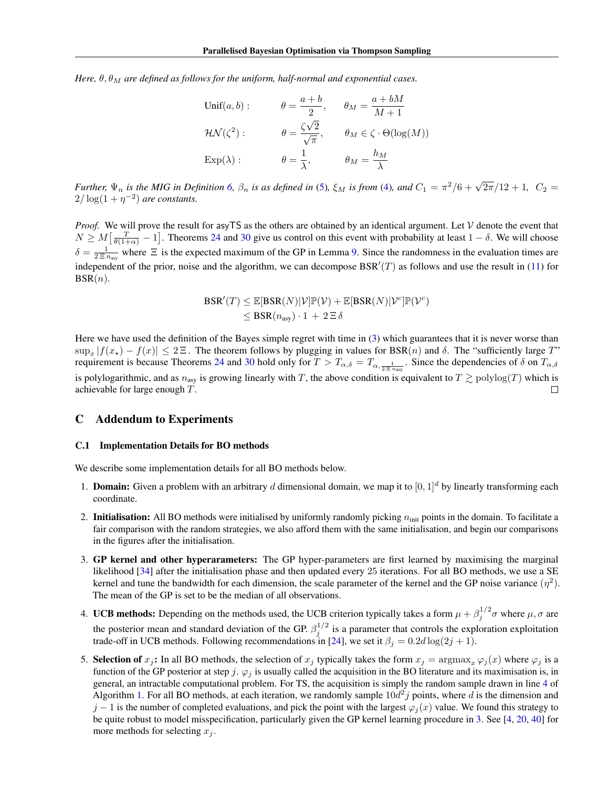*Here,*  $\theta$ ,  $\theta_M$  *are defined as follows for the uniform, half-normal and exponential cases.* 

$$
\begin{aligned}\n\text{Unif}(a, b): \qquad \theta &= \frac{a + b}{2}, \qquad \theta_M = \frac{a + bM}{M + 1} \\
\text{HN}(\zeta^2): \qquad \theta &= \frac{\zeta \sqrt{2}}{\sqrt{\pi}}, \qquad \theta_M \in \zeta \cdot \Theta(\log(M)) \\
\text{Exp}(\lambda): \qquad \theta &= \frac{1}{\lambda}, \qquad \theta_M = \frac{h_M}{\lambda}\n\end{aligned}
$$

*Further,*  $\Psi_n$  *is the MIG in Definition* [6,](#page-10-3)  $\beta_n$  *is as defined in* [\(5\)](#page-11-0),  $\xi_M$  *is from* [\(4\)](#page-4-1), *and*  $C_1 = \pi^2/6 + \sqrt{2\pi}/12 + 1$ ,  $C_2 =$  $2/\log(1+\eta^{-2})$  are constants.

*Proof.* We will prove the result for asyTS as the others are obtained by an identical argument. Let V denote the event that  $N \ge M\left[\frac{T}{\theta(1+\alpha)}-1\right]$ . Theorems [24](#page-16-1) and [30](#page-20-1) give us control on this event with probability at least  $1-\delta$ . We will choose  $\delta = \frac{1}{2 \Sigma n_{\text{asy}}}$  where  $\Xi$  is the expected maximum of the GP in Lemma [9.](#page-10-5) Since the randomness in the evaluation times are independent of the prior, noise and the algorithm, we can decompose  $BSR'(T)$  as follows and use the result in [\(11\)](#page-14-1) for  $BSR(n)$ .

$$
BSR'(T) \leq \mathbb{E}[BSR(N)|\mathcal{V}]\mathbb{P}(\mathcal{V}) + \mathbb{E}[BSR(N)|\mathcal{V}^c]\mathbb{P}(\mathcal{V}^c)
$$
  

$$
\leq BSR(n_{\text{asy}}) \cdot 1 + 2 \Xi \delta
$$

Here we have used the definition of the Bayes simple regret with time in [\(3\)](#page-2-0) which guarantees that it is never worse than  $\sup_x |f(x_\star) - f(x)| \le 2 \Xi$ . The theorem follows by plugging in values for BSR(n) and  $\delta$ . The "sufficiently large T" requirement is because Theorems [24](#page-16-1) and [30](#page-20-1) hold only for  $T > T_{\alpha,\delta} = T_{\alpha,\frac{1}{2} \overline{\Xi} n_{\rm asy}}$ . Since the dependencies of  $\delta$  on  $T_{\alpha,\delta}$ is polylogarithmic, and as  $n_{\text{asy}}$  is growing linearly with T, the above condition is equivalent to  $T \gtrsim \text{polylog}(T)$  which is achievable for large enough T.  $\Box$ 

### <span id="page-21-0"></span>C Addendum to Experiments

#### C.1 Implementation Details for BO methods

We describe some implementation details for all BO methods below.

- 1. **Domain:** Given a problem with an arbitrary d dimensional domain, we map it to  $[0, 1]^d$  by linearly transforming each coordinate.
- 2. Initialisation: All BO methods were initialised by uniformly randomly picking  $n_{\text{init}}$  points in the domain. To facilitate a fair comparison with the random strategies, we also afford them with the same initialisation, and begin our comparisons in the figures after the initialisation.
- <span id="page-21-1"></span>3. GP kernel and other hyperarameters: The GP hyper-parameters are first learned by maximising the marginal likelihood [\[34\]](#page-9-12) after the initialisation phase and then updated every 25 iterations. For all BO methods, we use a SE kernel and tune the bandwidth for each dimension, the scale parameter of the kernel and the GP noise variance  $(\eta^2)$ . The mean of the GP is set to be the median of all observations.
- 4. UCB methods: Depending on the methods used, the UCB criterion typically takes a form  $\mu + \beta_j^{1/2} \sigma$  where  $\mu$ ,  $\sigma$  are the posterior mean and standard deviation of the GP.  $\beta_j^{1/2}$  is a parameter that controls the exploration exploitation trade-off in UCB methods. Following recommendations in [\[24\]](#page-8-24), we set it  $\beta_j = 0.2d \log(2j + 1)$ .
- <span id="page-21-2"></span>5. Selection of  $x_j$ : In all BO methods, the selection of  $x_j$  typically takes the form  $x_j = \argmax_x \varphi_j(x)$  where  $\varphi_j$  is a function of the GP posterior at step j.  $\varphi_i$  is usually called the acquisition in the BO literature and its maximisation is, in general, an intractable computational problem. For TS, the acquisition is simply the random sample drawn in line [4](#page-3-7) of Algorithm [1.](#page-3-0) For all BO methods, at each iteration, we randomly sample  $10d^2j$  points, where d is the dimension and  $j-1$  is the number of completed evaluations, and pick the point with the largest  $\varphi_i(x)$  value. We found this strategy to be quite robust to model misspecification, particularly given the GP kernel learning procedure in [3.](#page-21-1) See [\[4,](#page-8-4) [20,](#page-8-25) [40\]](#page-9-1) for more methods for selecting  $x_i$ .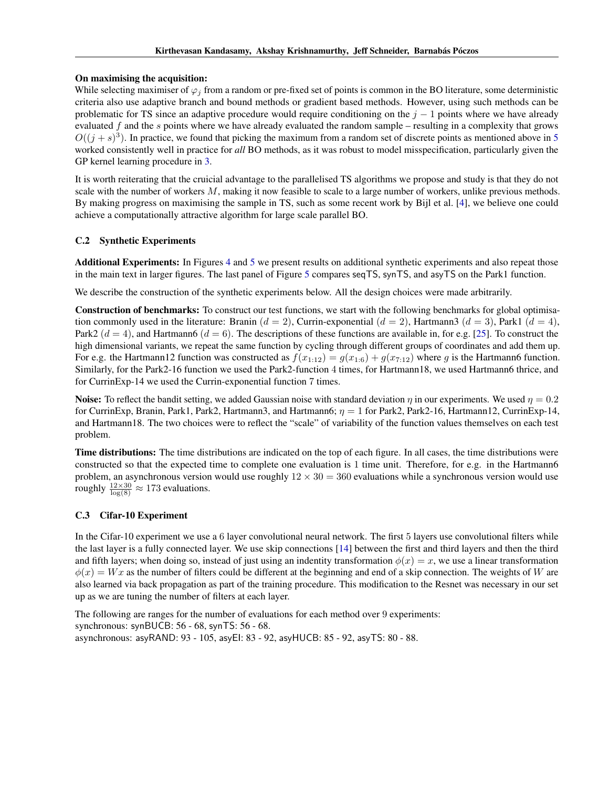### On maximising the acquisition:

While selecting maximiser of  $\varphi_i$  from a random or pre-fixed set of points is common in the BO literature, some deterministic criteria also use adaptive branch and bound methods or gradient based methods. However, using such methods can be problematic for TS since an adaptive procedure would require conditioning on the  $j - 1$  points where we have already evaluated  $f$  and the  $s$  points where we have already evaluated the random sample – resulting in a complexity that grows  $O((j + s)^3)$ . In practice, we found that picking the maximum from a random set of discrete points as mentioned above in [5](#page-21-2) worked consistently well in practice for *all* BO methods, as it was robust to model misspecification, particularly given the GP kernel learning procedure in [3.](#page-21-1)

It is worth reiterating that the cruicial advantage to the parallelised TS algorithms we propose and study is that they do not scale with the number of workers  $M$ , making it now feasible to scale to a large number of workers, unlike previous methods. By making progress on maximising the sample in TS, such as some recent work by Bijl et al. [\[4\]](#page-8-4), we believe one could achieve a computationally attractive algorithm for large scale parallel BO.

# C.2 Synthetic Experiments

Additional Experiments: In Figures [4](#page-23-0) and [5](#page-24-0) we present results on additional synthetic experiments and also repeat those in the main text in larger figures. The last panel of Figure [5](#page-24-0) compares seqTS, synTS, and asyTS on the Park1 function.

We describe the construction of the synthetic experiments below. All the design choices were made arbitrarily.

Construction of benchmarks: To construct our test functions, we start with the following benchmarks for global optimisation commonly used in the literature: Branin ( $d = 2$ ), Currin-exponential ( $d = 2$ ), Hartmann3 ( $d = 3$ ), Park1 ( $d = 4$ ), Park2  $(d = 4)$ , and Hartmann6  $(d = 6)$ . The descriptions of these functions are available in, for e.g. [\[25\]](#page-8-26). To construct the high dimensional variants, we repeat the same function by cycling through different groups of coordinates and add them up. For e.g. the Hartmann12 function was constructed as  $f(x_{1:12}) = g(x_{1:6}) + g(x_{7:12})$  where g is the Hartmann6 function. Similarly, for the Park2-16 function we used the Park2-function 4 times, for Hartmann18, we used Hartmann6 thrice, and for CurrinExp-14 we used the Currin-exponential function 7 times.

Noise: To reflect the bandit setting, we added Gaussian noise with standard deviation  $\eta$  in our experiments. We used  $\eta = 0.2$ for CurrinExp, Branin, Park1, Park2, Hartmann3, and Hartmann6;  $\eta = 1$  for Park2, Park2-16, Hartmann12, CurrinExp-14, and Hartmann18. The two choices were to reflect the "scale" of variability of the function values themselves on each test problem.

Time distributions: The time distributions are indicated on the top of each figure. In all cases, the time distributions were constructed so that the expected time to complete one evaluation is 1 time unit. Therefore, for e.g. in the Hartmann6 problem, an asynchronous version would use roughly  $12 \times 30 = 360$  evaluations while a synchronous version would use roughly  $\frac{12\times30}{\log(8)} \approx 173$  evaluations.

### C.3 Cifar-10 Experiment

In the Cifar-10 experiment we use a 6 layer convolutional neural network. The first 5 layers use convolutional filters while the last layer is a fully connected layer. We use skip connections [\[14\]](#page-8-21) between the first and third layers and then the third and fifth layers; when doing so, instead of just using an indentity transformation  $\phi(x) = x$ , we use a linear transformation  $\phi(x) = Wx$  as the number of filters could be different at the beginning and end of a skip connection. The weights of W are also learned via back propagation as part of the training procedure. This modification to the Resnet was necessary in our set up as we are tuning the number of filters at each layer.

The following are ranges for the number of evaluations for each method over 9 experiments: synchronous: synBUCB: 56 - 68, synTS: 56 - 68. asynchronous: asyRAND: 93 - 105, asyEI: 83 - 92, asyHUCB: 85 - 92, asyTS: 80 - 88.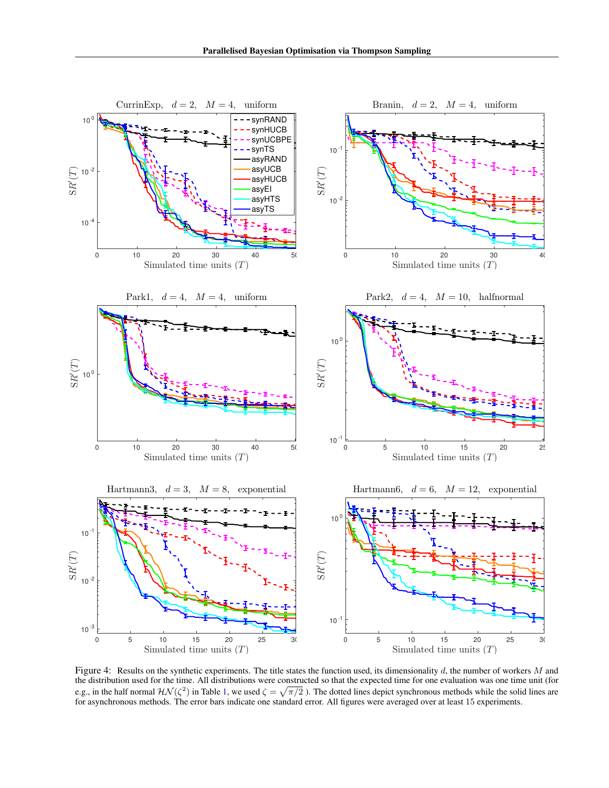

<span id="page-23-0"></span>Figure 4: Results on the synthetic experiments. The title states the function used, its dimensionality  $d$ , the number of workers  $M$  and the distribution used for the time. All distributions were constructed so that the expected time for one evaluation was one time unit (for e.g., in the half normal  $\mathcal{H}\mathcal{N}(\zeta^2)$  in Table [1,](#page-5-1) we used  $\zeta = \sqrt{\pi/2}$  ). The dotted lines depict synchronous methods while the solid lines are for asynchronous methods. The error bars indicate one standard error. All figures were averaged over at least 15 experiments.